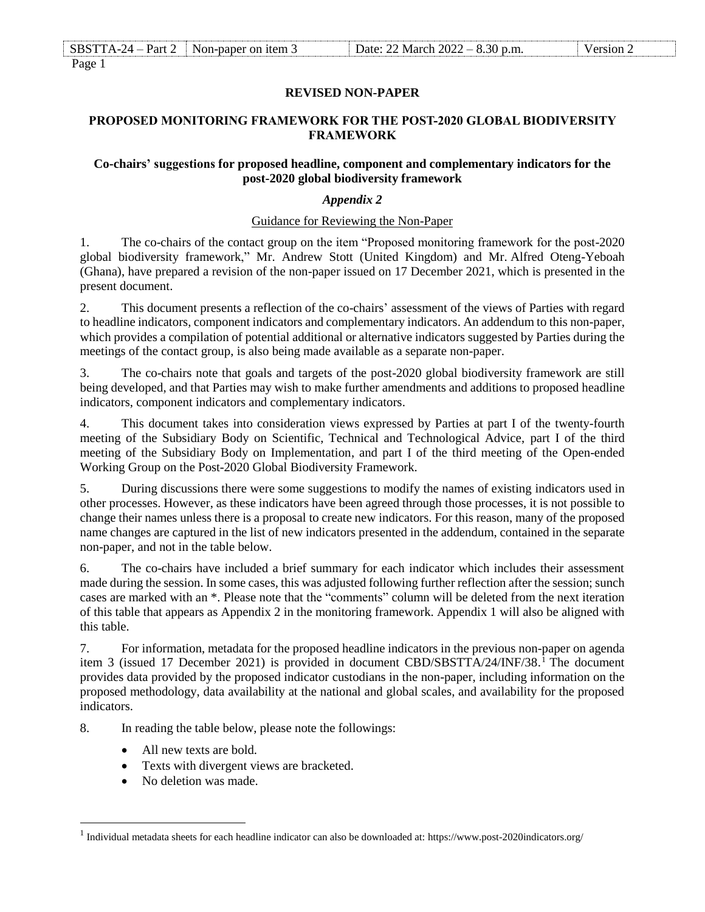| <b>SBS</b> | Part<br>1 A<br>$-1$<br>$\cdots$ | $Non-1$<br>$\gamma$ per on item $\Gamma$<br>-nar | $\Omega$<br>March 2022<br>Jate:<br>$-\alpha$ .<br>ור | $\cdot$ p.m. |  |
|------------|---------------------------------|--------------------------------------------------|------------------------------------------------------|--------------|--|
| $\sim$     |                                 |                                                  |                                                      |              |  |

Page 1

## **REVISED NON-PAPER**

## **PROPOSED MONITORING FRAMEWORK FOR THE POST-2020 GLOBAL BIODIVERSITY FRAMEWORK**

#### **Co-chairs' suggestions for proposed headline, component and complementary indicators for the post-2020 global biodiversity framework**

# *Appendix 2*

## Guidance for Reviewing the Non-Paper

1. The co-chairs of the contact group on the item "Proposed monitoring framework for the post-2020 global biodiversity framework," Mr. Andrew Stott (United Kingdom) and Mr. Alfred Oteng-Yeboah (Ghana), have prepared a revision of the non-paper issued on 17 December 2021, which is presented in the present document.

2. This document presents a reflection of the co-chairs' assessment of the views of Parties with regard to headline indicators, component indicators and complementary indicators. An addendum to this non-paper, which provides a compilation of potential additional or alternative indicators suggested by Parties during the meetings of the contact group, is also being made available as a separate non-paper.

3. The co-chairs note that goals and targets of the post-2020 global biodiversity framework are still being developed, and that Parties may wish to make further amendments and additions to proposed headline indicators, component indicators and complementary indicators.

4. This document takes into consideration views expressed by Parties at part I of the twenty-fourth meeting of the Subsidiary Body on Scientific, Technical and Technological Advice, part I of the third meeting of the Subsidiary Body on Implementation, and part I of the third meeting of the Open-ended Working Group on the Post-2020 Global Biodiversity Framework.

5. During discussions there were some suggestions to modify the names of existing indicators used in other processes. However, as these indicators have been agreed through those processes, it is not possible to change their names unless there is a proposal to create new indicators. For this reason, many of the proposed name changes are captured in the list of new indicators presented in the addendum, contained in the separate non-paper, and not in the table below.

6. The co-chairs have included a brief summary for each indicator which includes their assessment made during the session. In some cases, this was adjusted following further reflection after the session; sunch cases are marked with an \*. Please note that the "comments" column will be deleted from the next iteration of this table that appears as Appendix 2 in the monitoring framework. Appendix 1 will also be aligned with this table.

7. For information, metadata for the proposed headline indicators in the previous non-paper on agenda item 3 (issued 17 December 2021) is provided in document CBD/SBSTTA/24/INF/38. <sup>1</sup> The document provides data provided by the proposed indicator custodians in the non-paper, including information on the proposed methodology, data availability at the national and global scales, and availability for the proposed indicators.

8. In reading the table below, please note the followings:

- All new texts are bold.
- Texts with divergent views are bracketed.
- No deletion was made.

 $\overline{a}$ 

<sup>&</sup>lt;sup>1</sup> Individual metadata sheets for each headline indicator can also be downloaded at: https://www.post-2020indicators.org/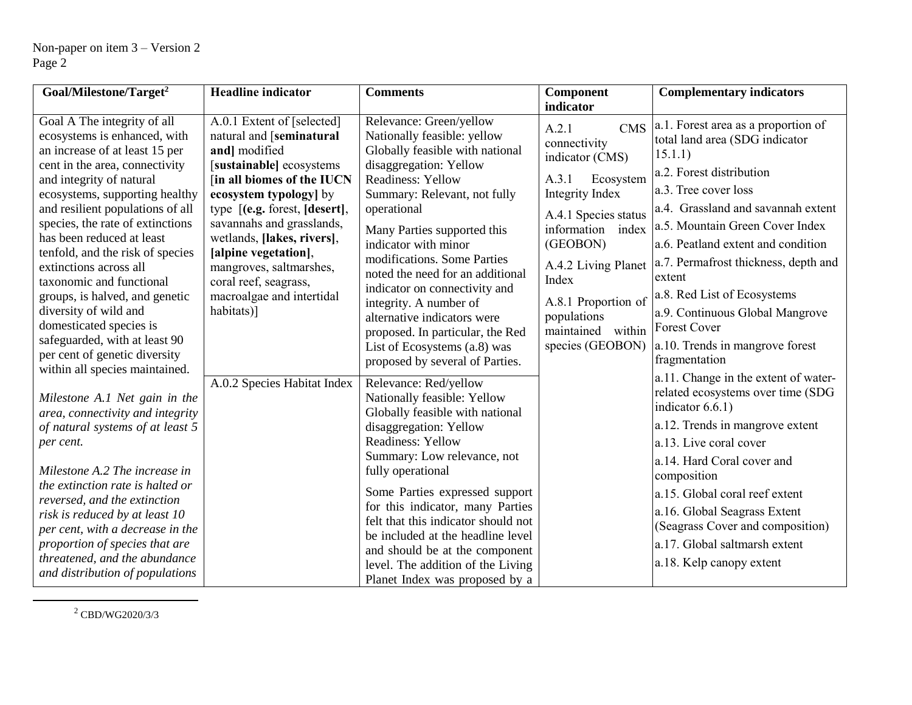| Goal/Milestone/Target <sup>2</sup>                               | <b>Headline</b> indicator                              | <b>Comments</b>                                                     | Component                          | <b>Complementary indicators</b>                |
|------------------------------------------------------------------|--------------------------------------------------------|---------------------------------------------------------------------|------------------------------------|------------------------------------------------|
|                                                                  |                                                        |                                                                     | indicator                          |                                                |
| Goal A The integrity of all<br>ecosystems is enhanced, with      | A.0.1 Extent of [selected]<br>natural and [seminatural | Relevance: Green/yellow<br>Nationally feasible: yellow              | A.2.1<br><b>CMS</b>                | a.1. Forest area as a proportion of            |
| an increase of at least 15 per                                   | and] modified                                          | Globally feasible with national                                     | connectivity                       | total land area (SDG indicator<br>15.1.1)      |
| cent in the area, connectivity                                   | [sustainable] ecosystems                               | disaggregation: Yellow                                              | indicator (CMS)                    |                                                |
| and integrity of natural                                         | [in all biomes of the IUCN                             | <b>Readiness: Yellow</b>                                            | A.3.1<br>Ecosystem                 | a.2. Forest distribution                       |
| ecosystems, supporting healthy                                   | ecosystem typology] by                                 | Summary: Relevant, not fully                                        | Integrity Index                    | a.3. Tree cover loss                           |
| and resilient populations of all                                 | type $[(e.g. forest, [desert],$                        | operational                                                         | A.4.1 Species status               | a.4. Grassland and savannah extent             |
| species, the rate of extinctions                                 | savannahs and grasslands,                              | Many Parties supported this                                         | information index                  | a.5. Mountain Green Cover Index                |
| has been reduced at least<br>tenfold, and the risk of species    | wetlands, [lakes, rivers],<br>[alpine vegetation],     | indicator with minor                                                | (GEOBON)                           | a.6. Peatland extent and condition             |
| extinctions across all<br>taxonomic and functional               | mangroves, saltmarshes,<br>coral reef, seagrass,       | modifications. Some Parties<br>noted the need for an additional     | A.4.2 Living Planet<br>Index       | a.7. Permafrost thickness, depth and<br>extent |
| groups, is halved, and genetic                                   | macroalgae and intertidal                              | indicator on connectivity and                                       |                                    | a.8. Red List of Ecosystems                    |
| diversity of wild and                                            | habitats)]                                             | integrity. A number of                                              | A.8.1 Proportion of<br>populations | a.9. Continuous Global Mangrove                |
| domesticated species is                                          |                                                        | alternative indicators were<br>proposed. In particular, the Red     | maintained within                  | <b>Forest Cover</b>                            |
| safeguarded, with at least 90                                    |                                                        | List of Ecosystems (a.8) was                                        | species (GEOBON)                   | a.10. Trends in mangrove forest                |
| per cent of genetic diversity                                    |                                                        | proposed by several of Parties.                                     |                                    | fragmentation                                  |
| within all species maintained.                                   | A.0.2 Species Habitat Index                            | Relevance: Red/yellow                                               |                                    | a.11. Change in the extent of water-           |
| Milestone A.1 Net gain in the                                    |                                                        | Nationally feasible: Yellow                                         |                                    | related ecosystems over time (SDG              |
| area, connectivity and integrity                                 |                                                        | Globally feasible with national                                     |                                    | indicator $6.6.1$ )                            |
| of natural systems of at least 5                                 |                                                        | disaggregation: Yellow                                              |                                    | a.12. Trends in mangrove extent                |
| per cent.                                                        |                                                        | <b>Readiness: Yellow</b>                                            |                                    | a.13. Live coral cover                         |
|                                                                  |                                                        | Summary: Low relevance, not                                         |                                    | a.14. Hard Coral cover and                     |
| Milestone A.2 The increase in                                    |                                                        | fully operational                                                   |                                    | composition                                    |
| the extinction rate is halted or<br>reversed, and the extinction |                                                        | Some Parties expressed support                                      |                                    | a.15. Global coral reef extent                 |
| risk is reduced by at least 10                                   |                                                        | for this indicator, many Parties                                    |                                    | a.16. Global Seagrass Extent                   |
| per cent, with a decrease in the                                 |                                                        | felt that this indicator should not                                 |                                    | (Seagrass Cover and composition)               |
| proportion of species that are                                   |                                                        | be included at the headline level                                   |                                    | a.17. Global saltmarsh extent                  |
| threatened, and the abundance                                    |                                                        | and should be at the component<br>level. The addition of the Living |                                    | a.18. Kelp canopy extent                       |
| and distribution of populations                                  |                                                        | Planet Index was proposed by a                                      |                                    |                                                |

<sup>2</sup> CBD/WG2020/3/3

l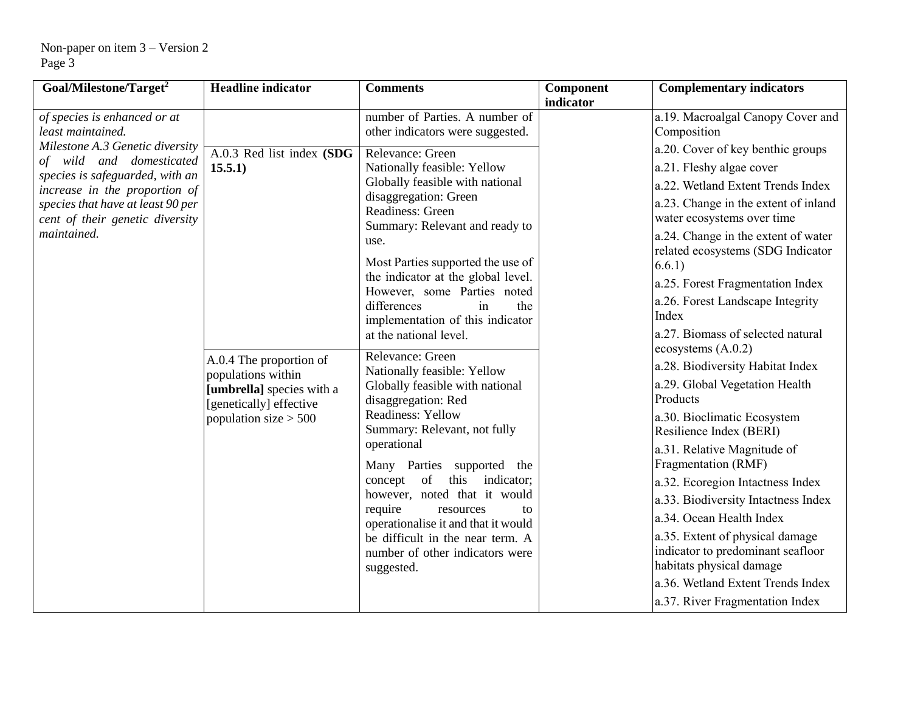| Goal/Milestone/Target <sup>2</sup>                                                                                                                                                                                     | <b>Headline</b> indicator                                                                                                        | <b>Comments</b>                                                                                                                                                                                                                                                                                                                                                                                                                                                     | Component<br>indicator | <b>Complementary indicators</b>                                                                                                                                                                                                                                                                                                                                                                                                                                                                           |
|------------------------------------------------------------------------------------------------------------------------------------------------------------------------------------------------------------------------|----------------------------------------------------------------------------------------------------------------------------------|---------------------------------------------------------------------------------------------------------------------------------------------------------------------------------------------------------------------------------------------------------------------------------------------------------------------------------------------------------------------------------------------------------------------------------------------------------------------|------------------------|-----------------------------------------------------------------------------------------------------------------------------------------------------------------------------------------------------------------------------------------------------------------------------------------------------------------------------------------------------------------------------------------------------------------------------------------------------------------------------------------------------------|
| of species is enhanced or at<br>least maintained.                                                                                                                                                                      |                                                                                                                                  | number of Parties. A number of<br>other indicators were suggested.                                                                                                                                                                                                                                                                                                                                                                                                  |                        | a.19. Macroalgal Canopy Cover and<br>Composition                                                                                                                                                                                                                                                                                                                                                                                                                                                          |
| Milestone A.3 Genetic diversity<br>of wild and domesticated<br>species is safeguarded, with an<br>increase in the proportion of<br>species that have at least 90 per<br>cent of their genetic diversity<br>maintained. | A.0.3 Red list index (SDG<br>15.5.1)                                                                                             | Relevance: Green<br>Nationally feasible: Yellow<br>Globally feasible with national<br>disaggregation: Green<br>Readiness: Green<br>Summary: Relevant and ready to<br>use.<br>Most Parties supported the use of<br>the indicator at the global level.<br>However, some Parties noted<br>differences<br>the<br>in<br>implementation of this indicator                                                                                                                 |                        | a.20. Cover of key benthic groups<br>a.21. Fleshy algae cover<br>a.22. Wetland Extent Trends Index<br>a.23. Change in the extent of inland<br>water ecosystems over time<br>a.24. Change in the extent of water<br>related ecosystems (SDG Indicator<br>6.6.1)<br>a.25. Forest Fragmentation Index<br>a.26. Forest Landscape Integrity<br>Index<br>a.27. Biomass of selected natural                                                                                                                      |
|                                                                                                                                                                                                                        | A.0.4 The proportion of<br>populations within<br>[umbrella] species with a<br>[genetically] effective<br>population size $> 500$ | at the national level.<br>Relevance: Green<br>Nationally feasible: Yellow<br>Globally feasible with national<br>disaggregation: Red<br>Readiness: Yellow<br>Summary: Relevant, not fully<br>operational<br>Many Parties supported the<br>concept of<br>this<br>indicator;<br>however, noted that it would<br>require<br>resources<br>to<br>operationalise it and that it would<br>be difficult in the near term. A<br>number of other indicators were<br>suggested. |                        | ecosystems $(A.0.2)$<br>a.28. Biodiversity Habitat Index<br>a.29. Global Vegetation Health<br>Products<br>a.30. Bioclimatic Ecosystem<br>Resilience Index (BERI)<br>a.31. Relative Magnitude of<br>Fragmentation (RMF)<br>a.32. Ecoregion Intactness Index<br>a.33. Biodiversity Intactness Index<br>a.34. Ocean Health Index<br>a.35. Extent of physical damage<br>indicator to predominant seafloor<br>habitats physical damage<br>a.36. Wetland Extent Trends Index<br>a.37. River Fragmentation Index |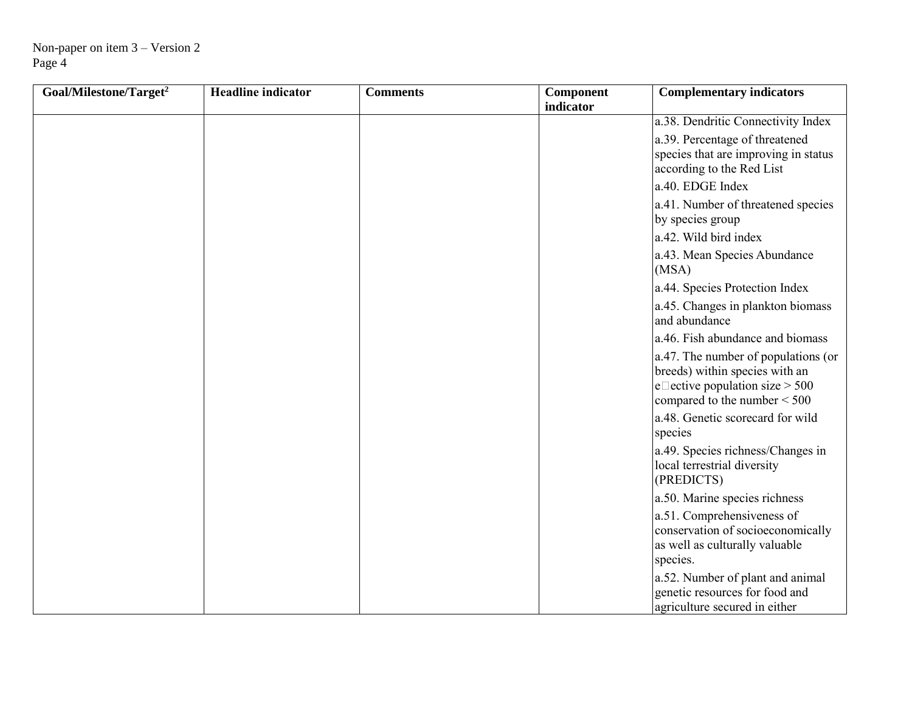| Goal/Milestone/Target <sup>2</sup> | <b>Headline</b> indicator | <b>Comments</b> | Component<br>indicator | <b>Complementary indicators</b>                                                                                                                  |
|------------------------------------|---------------------------|-----------------|------------------------|--------------------------------------------------------------------------------------------------------------------------------------------------|
|                                    |                           |                 |                        | a.38. Dendritic Connectivity Index                                                                                                               |
|                                    |                           |                 |                        | a.39. Percentage of threatened<br>species that are improving in status<br>according to the Red List                                              |
|                                    |                           |                 |                        | a.40. EDGE Index                                                                                                                                 |
|                                    |                           |                 |                        | a.41. Number of threatened species<br>by species group                                                                                           |
|                                    |                           |                 |                        | a.42. Wild bird index                                                                                                                            |
|                                    |                           |                 |                        | a.43. Mean Species Abundance<br>(MSA)                                                                                                            |
|                                    |                           |                 |                        | a.44. Species Protection Index                                                                                                                   |
|                                    |                           |                 |                        | a.45. Changes in plankton biomass<br>and abundance                                                                                               |
|                                    |                           |                 |                        | a.46. Fish abundance and biomass                                                                                                                 |
|                                    |                           |                 |                        | a.47. The number of populations (or<br>breeds) within species with an<br>e $\Box$ ective population size > 500<br>compared to the number $<$ 500 |
|                                    |                           |                 |                        | a.48. Genetic scorecard for wild<br>species                                                                                                      |
|                                    |                           |                 |                        | a.49. Species richness/Changes in<br>local terrestrial diversity<br>(PREDICTS)                                                                   |
|                                    |                           |                 |                        | a.50. Marine species richness                                                                                                                    |
|                                    |                           |                 |                        | a.51. Comprehensiveness of<br>conservation of socioeconomically<br>as well as culturally valuable<br>species.                                    |
|                                    |                           |                 |                        | a.52. Number of plant and animal<br>genetic resources for food and<br>agriculture secured in either                                              |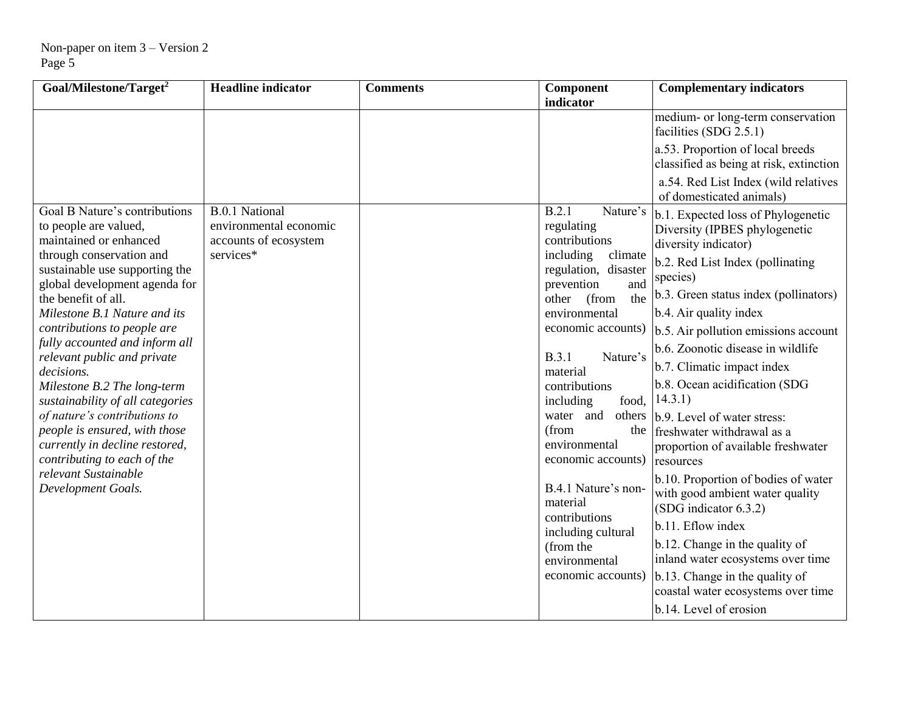| Goal/Milestone/Target <sup>2</sup>                                                                                                                                                                                                                                                                                                                                                                                                                                                                                                                                                                      | <b>Headline indicator</b>                                                             | <b>Comments</b> | Component                                                                                                                                                                                                                                                                                                                                                                                                                                                          | <b>Complementary indicators</b>                                                                                                                                                                                                                                                                                                                                                                                                                                                                                                                                                                                                                                                                                               |
|---------------------------------------------------------------------------------------------------------------------------------------------------------------------------------------------------------------------------------------------------------------------------------------------------------------------------------------------------------------------------------------------------------------------------------------------------------------------------------------------------------------------------------------------------------------------------------------------------------|---------------------------------------------------------------------------------------|-----------------|--------------------------------------------------------------------------------------------------------------------------------------------------------------------------------------------------------------------------------------------------------------------------------------------------------------------------------------------------------------------------------------------------------------------------------------------------------------------|-------------------------------------------------------------------------------------------------------------------------------------------------------------------------------------------------------------------------------------------------------------------------------------------------------------------------------------------------------------------------------------------------------------------------------------------------------------------------------------------------------------------------------------------------------------------------------------------------------------------------------------------------------------------------------------------------------------------------------|
|                                                                                                                                                                                                                                                                                                                                                                                                                                                                                                                                                                                                         |                                                                                       |                 | indicator                                                                                                                                                                                                                                                                                                                                                                                                                                                          | medium- or long-term conservation<br>facilities (SDG 2.5.1)                                                                                                                                                                                                                                                                                                                                                                                                                                                                                                                                                                                                                                                                   |
|                                                                                                                                                                                                                                                                                                                                                                                                                                                                                                                                                                                                         |                                                                                       |                 |                                                                                                                                                                                                                                                                                                                                                                                                                                                                    | a.53. Proportion of local breeds<br>classified as being at risk, extinction                                                                                                                                                                                                                                                                                                                                                                                                                                                                                                                                                                                                                                                   |
|                                                                                                                                                                                                                                                                                                                                                                                                                                                                                                                                                                                                         |                                                                                       |                 |                                                                                                                                                                                                                                                                                                                                                                                                                                                                    | a.54. Red List Index (wild relatives<br>of domesticated animals)                                                                                                                                                                                                                                                                                                                                                                                                                                                                                                                                                                                                                                                              |
| Goal B Nature's contributions<br>to people are valued,<br>maintained or enhanced<br>through conservation and<br>sustainable use supporting the<br>global development agenda for<br>the benefit of all.<br>Milestone B.1 Nature and its<br>contributions to people are<br>fully accounted and inform all<br>relevant public and private<br>decisions.<br>Milestone B.2 The long-term<br>sustainability of all categories<br>of nature's contributions to<br>people is ensured, with those<br>currently in decline restored,<br>contributing to each of the<br>relevant Sustainable<br>Development Goals. | <b>B.0.1</b> National<br>environmental economic<br>accounts of ecosystem<br>services* |                 | B.2.1<br>Nature's<br>regulating<br>contributions<br>including<br>climate<br>regulation, disaster<br>prevention<br>and<br>the<br>other<br>(from<br>environmental<br>economic accounts)<br>B.3.1<br>Nature's<br>material<br>contributions<br>including<br>food,<br>and<br>water<br>(from<br>the<br>environmental<br>economic accounts)<br>B.4.1 Nature's non-<br>material<br>contributions<br>including cultural<br>(from the<br>environmental<br>economic accounts) | b.1. Expected loss of Phylogenetic<br>Diversity (IPBES phylogenetic<br>diversity indicator)<br>b.2. Red List Index (pollinating<br>species)<br>b.3. Green status index (pollinators)<br>b.4. Air quality index<br>b.5. Air pollution emissions account<br>b.6. Zoonotic disease in wildlife<br>b.7. Climatic impact index<br>b.8. Ocean acidification (SDG<br>14.3.1)<br>others b.9. Level of water stress:<br>freshwater withdrawal as a<br>proportion of available freshwater<br>resources<br>b.10. Proportion of bodies of water<br>with good ambient water quality<br>(SDG indicator 6.3.2)<br>b.11. Eflow index<br>b.12. Change in the quality of<br>inland water ecosystems over time<br>b.13. Change in the quality of |
|                                                                                                                                                                                                                                                                                                                                                                                                                                                                                                                                                                                                         |                                                                                       |                 |                                                                                                                                                                                                                                                                                                                                                                                                                                                                    | coastal water ecosystems over time<br>b.14. Level of erosion                                                                                                                                                                                                                                                                                                                                                                                                                                                                                                                                                                                                                                                                  |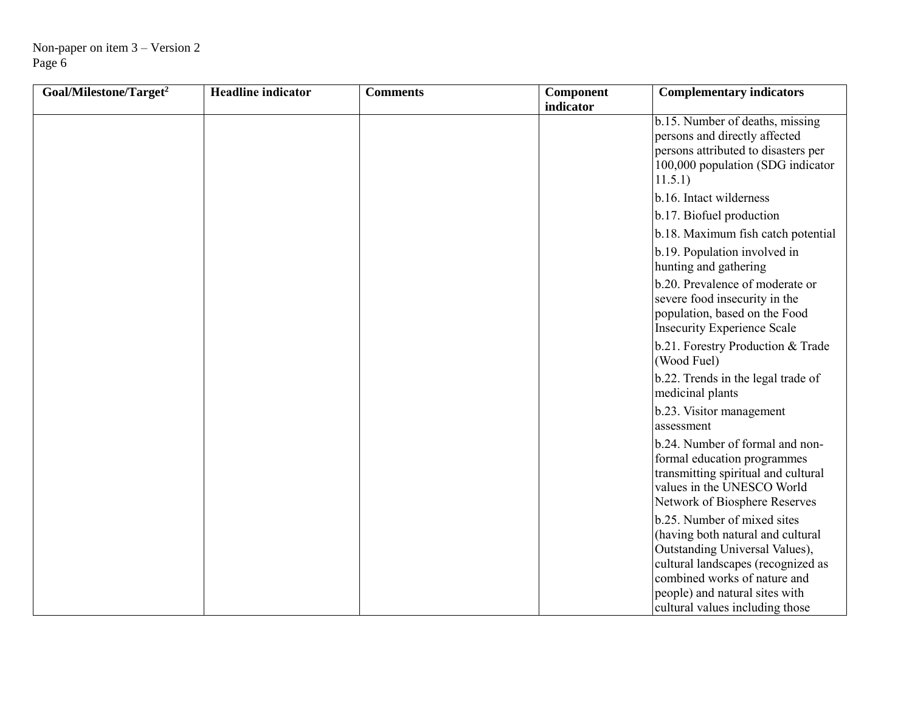| Goal/Milestone/Target <sup>2</sup> | <b>Headline</b> indicator | <b>Comments</b> | Component | <b>Complementary indicators</b>                                                                                                                                                                                                               |
|------------------------------------|---------------------------|-----------------|-----------|-----------------------------------------------------------------------------------------------------------------------------------------------------------------------------------------------------------------------------------------------|
|                                    |                           |                 | indicator | b.15. Number of deaths, missing<br>persons and directly affected<br>persons attributed to disasters per<br>100,000 population (SDG indicator<br>11.5.1)                                                                                       |
|                                    |                           |                 |           | b.16. Intact wilderness                                                                                                                                                                                                                       |
|                                    |                           |                 |           | b.17. Biofuel production                                                                                                                                                                                                                      |
|                                    |                           |                 |           | b.18. Maximum fish catch potential                                                                                                                                                                                                            |
|                                    |                           |                 |           | b.19. Population involved in<br>hunting and gathering                                                                                                                                                                                         |
|                                    |                           |                 |           | b.20. Prevalence of moderate or<br>severe food insecurity in the<br>population, based on the Food<br><b>Insecurity Experience Scale</b>                                                                                                       |
|                                    |                           |                 |           | b.21. Forestry Production & Trade<br>(Wood Fuel)                                                                                                                                                                                              |
|                                    |                           |                 |           | b.22. Trends in the legal trade of<br>medicinal plants                                                                                                                                                                                        |
|                                    |                           |                 |           | b.23. Visitor management<br>assessment                                                                                                                                                                                                        |
|                                    |                           |                 |           | b.24. Number of formal and non-<br>formal education programmes<br>transmitting spiritual and cultural<br>values in the UNESCO World<br>Network of Biosphere Reserves                                                                          |
|                                    |                           |                 |           | b.25. Number of mixed sites<br>(having both natural and cultural<br>Outstanding Universal Values),<br>cultural landscapes (recognized as<br>combined works of nature and<br>people) and natural sites with<br>cultural values including those |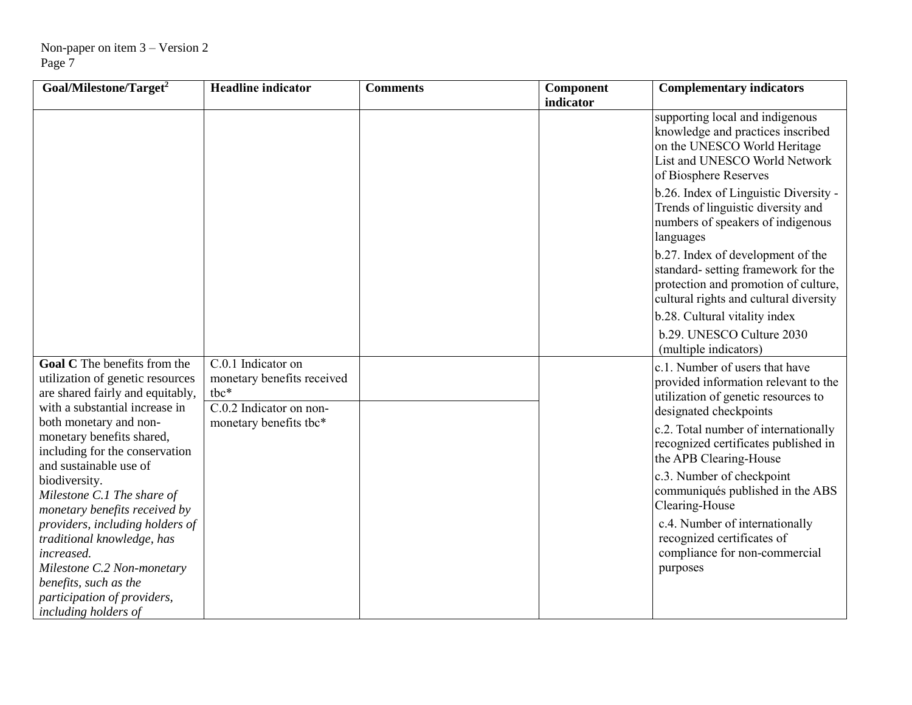| Goal/Milestone/Target <sup>2</sup>                                                                                                     | <b>Headline</b> indicator                                                             | <b>Comments</b> | Component<br>indicator | <b>Complementary indicators</b>                                                                                                                                |
|----------------------------------------------------------------------------------------------------------------------------------------|---------------------------------------------------------------------------------------|-----------------|------------------------|----------------------------------------------------------------------------------------------------------------------------------------------------------------|
|                                                                                                                                        |                                                                                       |                 |                        | supporting local and indigenous<br>knowledge and practices inscribed<br>on the UNESCO World Heritage<br>List and UNESCO World Network<br>of Biosphere Reserves |
|                                                                                                                                        |                                                                                       |                 |                        | b.26. Index of Linguistic Diversity -<br>Trends of linguistic diversity and<br>numbers of speakers of indigenous<br>languages                                  |
|                                                                                                                                        |                                                                                       |                 |                        | b.27. Index of development of the<br>standard- setting framework for the<br>protection and promotion of culture,<br>cultural rights and cultural diversity     |
|                                                                                                                                        |                                                                                       |                 |                        | b.28. Cultural vitality index                                                                                                                                  |
|                                                                                                                                        |                                                                                       |                 |                        | b.29. UNESCO Culture 2030<br>(multiple indicators)                                                                                                             |
| Goal C The benefits from the<br>utilization of genetic resources<br>are shared fairly and equitably,<br>with a substantial increase in | $C.0.1$ Indicator on<br>monetary benefits received<br>tbc*<br>C.0.2 Indicator on non- |                 |                        | c.1. Number of users that have<br>provided information relevant to the<br>utilization of genetic resources to<br>designated checkpoints                        |
| both monetary and non-<br>monetary benefits shared,<br>including for the conservation<br>and sustainable use of                        | monetary benefits tbc*                                                                |                 |                        | c.2. Total number of internationally<br>recognized certificates published in<br>the APB Clearing-House                                                         |
| biodiversity.<br>Milestone C.1 The share of<br>monetary benefits received by                                                           |                                                                                       |                 |                        | c.3. Number of checkpoint<br>communiqués published in the ABS<br>Clearing-House                                                                                |
| providers, including holders of<br>traditional knowledge, has<br>increased.                                                            |                                                                                       |                 |                        | c.4. Number of internationally<br>recognized certificates of<br>compliance for non-commercial                                                                  |
| Milestone C.2 Non-monetary<br>benefits, such as the                                                                                    |                                                                                       |                 |                        | purposes                                                                                                                                                       |
| participation of providers,                                                                                                            |                                                                                       |                 |                        |                                                                                                                                                                |
| including holders of                                                                                                                   |                                                                                       |                 |                        |                                                                                                                                                                |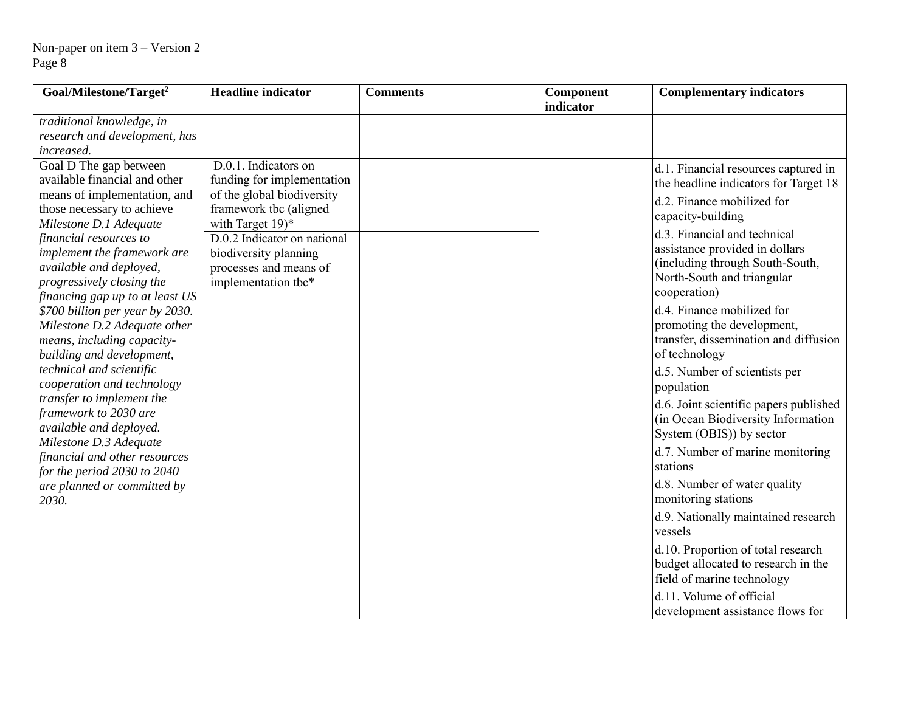| Goal/Milestone/Target <sup>2</sup>                              | <b>Headline</b> indicator   | <b>Comments</b> | Component<br>indicator | <b>Complementary indicators</b>             |
|-----------------------------------------------------------------|-----------------------------|-----------------|------------------------|---------------------------------------------|
| traditional knowledge, in                                       |                             |                 |                        |                                             |
| research and development, has                                   |                             |                 |                        |                                             |
| increased.                                                      |                             |                 |                        |                                             |
| Goal D The gap between                                          | D.0.1. Indicators on        |                 |                        | d.1. Financial resources captured in        |
| available financial and other                                   | funding for implementation  |                 |                        | the headline indicators for Target 18       |
| means of implementation, and                                    | of the global biodiversity  |                 |                        | d.2. Finance mobilized for                  |
| those necessary to achieve                                      | framework tbc (aligned      |                 |                        | capacity-building                           |
| Milestone D.1 Adequate                                          | with Target 19)*            |                 |                        | d.3. Financial and technical                |
| financial resources to                                          | D.0.2 Indicator on national |                 |                        |                                             |
| implement the framework are                                     | biodiversity planning       |                 |                        | assistance provided in dollars              |
| available and deployed,                                         | processes and means of      |                 |                        | (including through South-South,             |
| progressively closing the                                       | implementation tbc*         |                 |                        | North-South and triangular<br>cooperation)  |
| financing gap up to at least US                                 |                             |                 |                        | d.4. Finance mobilized for                  |
| \$700 billion per year by 2030.<br>Milestone D.2 Adequate other |                             |                 |                        | promoting the development,                  |
| means, including capacity-                                      |                             |                 |                        | transfer, dissemination and diffusion       |
| building and development,                                       |                             |                 |                        | of technology                               |
| technical and scientific                                        |                             |                 |                        |                                             |
| cooperation and technology                                      |                             |                 |                        | d.5. Number of scientists per<br>population |
| transfer to implement the                                       |                             |                 |                        |                                             |
| framework to 2030 are                                           |                             |                 |                        | d.6. Joint scientific papers published      |
| available and deployed.                                         |                             |                 |                        | (in Ocean Biodiversity Information          |
| Milestone D.3 Adequate                                          |                             |                 |                        | System (OBIS)) by sector                    |
| financial and other resources                                   |                             |                 |                        | d.7. Number of marine monitoring            |
| for the period 2030 to 2040                                     |                             |                 |                        | stations                                    |
| are planned or committed by                                     |                             |                 |                        | d.8. Number of water quality                |
| 2030.                                                           |                             |                 |                        | monitoring stations                         |
|                                                                 |                             |                 |                        | d.9. Nationally maintained research         |
|                                                                 |                             |                 |                        | vessels                                     |
|                                                                 |                             |                 |                        | d.10. Proportion of total research          |
|                                                                 |                             |                 |                        | budget allocated to research in the         |
|                                                                 |                             |                 |                        | field of marine technology                  |
|                                                                 |                             |                 |                        | d.11. Volume of official                    |
|                                                                 |                             |                 |                        | development assistance flows for            |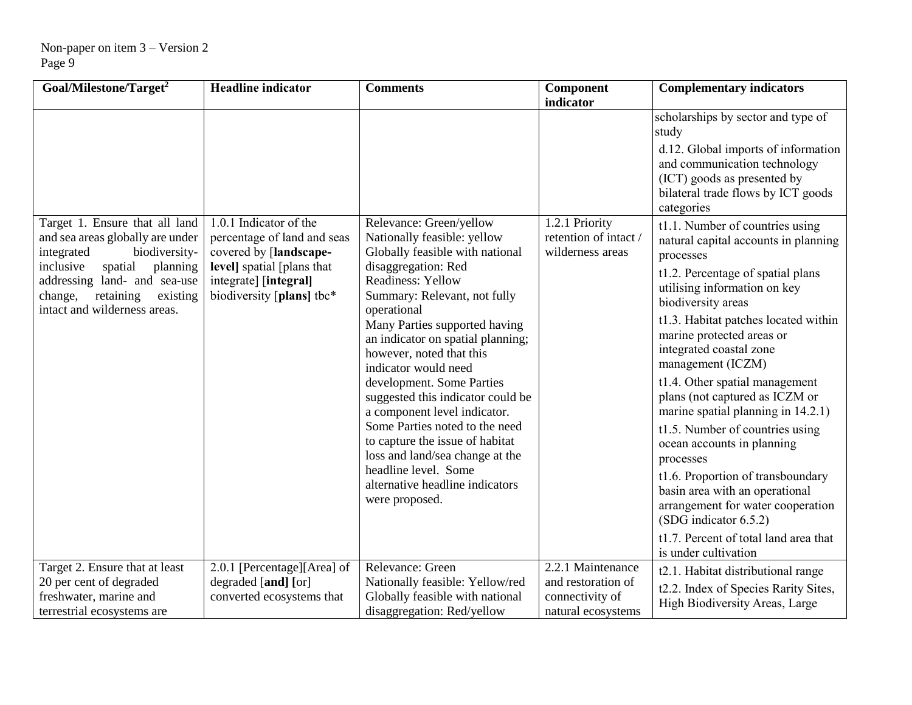| Goal/Milestone/Target <sup>2</sup>                                                                                                   | <b>Headline indicator</b>                                                        | <b>Comments</b>                                                                                                        | Component<br>indicator                                     | <b>Complementary indicators</b>                                                                                                                        |
|--------------------------------------------------------------------------------------------------------------------------------------|----------------------------------------------------------------------------------|------------------------------------------------------------------------------------------------------------------------|------------------------------------------------------------|--------------------------------------------------------------------------------------------------------------------------------------------------------|
|                                                                                                                                      |                                                                                  |                                                                                                                        |                                                            | scholarships by sector and type of<br>study                                                                                                            |
|                                                                                                                                      |                                                                                  |                                                                                                                        |                                                            | d.12. Global imports of information<br>and communication technology<br>(ICT) goods as presented by<br>bilateral trade flows by ICT goods<br>categories |
| Target 1. Ensure that all land<br>and sea areas globally are under<br>integrated<br>biodiversity-                                    | 1.0.1 Indicator of the<br>percentage of land and seas<br>covered by [landscape-  | Relevance: Green/yellow<br>Nationally feasible: yellow<br>Globally feasible with national                              | 1.2.1 Priority<br>retention of intact/<br>wilderness areas | t1.1. Number of countries using<br>natural capital accounts in planning<br>processes                                                                   |
| inclusive<br>spatial<br>planning<br>addressing land- and sea-use<br>change,<br>retaining<br>existing<br>intact and wilderness areas. | level] spatial [plans that<br>integrate] [integral]<br>biodiversity [plans] tbc* | disaggregation: Red<br><b>Readiness: Yellow</b><br>Summary: Relevant, not fully<br>operational                         |                                                            | t1.2. Percentage of spatial plans<br>utilising information on key<br>biodiversity areas                                                                |
|                                                                                                                                      |                                                                                  | Many Parties supported having<br>an indicator on spatial planning;<br>however, noted that this<br>indicator would need |                                                            | t1.3. Habitat patches located within<br>marine protected areas or<br>integrated coastal zone<br>management (ICZM)                                      |
|                                                                                                                                      |                                                                                  | development. Some Parties<br>suggested this indicator could be<br>a component level indicator.                         |                                                            | t1.4. Other spatial management<br>plans (not captured as ICZM or<br>marine spatial planning in 14.2.1)                                                 |
|                                                                                                                                      |                                                                                  | Some Parties noted to the need<br>to capture the issue of habitat<br>loss and land/sea change at the                   |                                                            | t1.5. Number of countries using<br>ocean accounts in planning<br>processes                                                                             |
|                                                                                                                                      |                                                                                  | headline level. Some<br>alternative headline indicators<br>were proposed.                                              |                                                            | t1.6. Proportion of transboundary<br>basin area with an operational<br>arrangement for water cooperation<br>(SDG indicator 6.5.2)                      |
|                                                                                                                                      |                                                                                  |                                                                                                                        |                                                            | t1.7. Percent of total land area that<br>is under cultivation                                                                                          |
| Target 2. Ensure that at least                                                                                                       | 2.0.1 [Percentage][Area] of                                                      | Relevance: Green                                                                                                       | 2.2.1 Maintenance                                          | t2.1. Habitat distributional range                                                                                                                     |
| 20 per cent of degraded                                                                                                              | degraded [and] [or]                                                              | Nationally feasible: Yellow/red                                                                                        | and restoration of                                         | t2.2. Index of Species Rarity Sites,                                                                                                                   |
| freshwater, marine and<br>terrestrial ecosystems are                                                                                 | converted ecosystems that                                                        | Globally feasible with national<br>disaggregation: Red/yellow                                                          | connectivity of<br>natural ecosystems                      | High Biodiversity Areas, Large                                                                                                                         |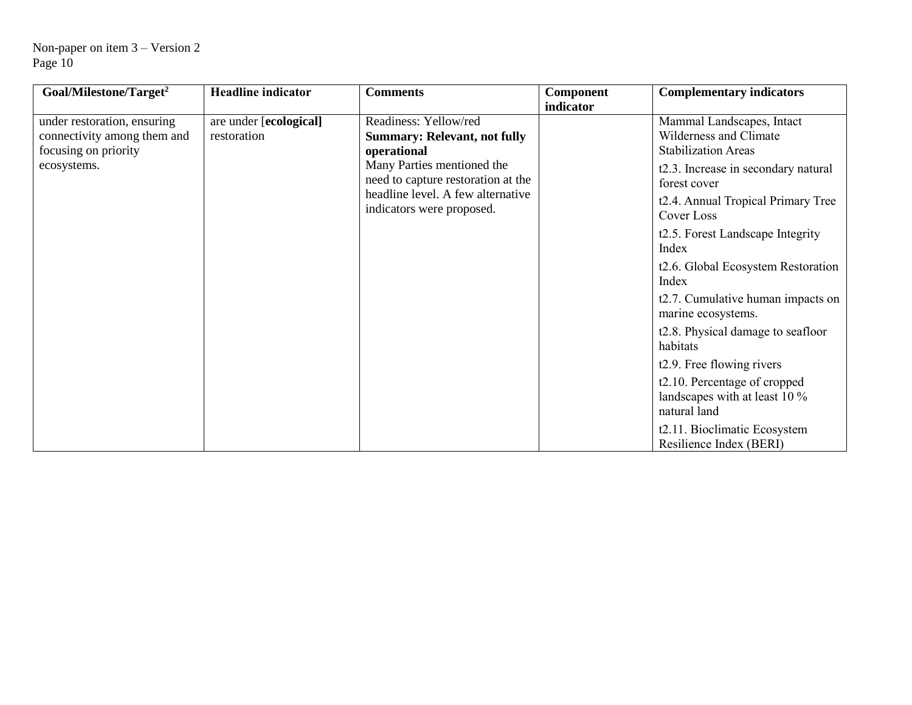| Goal/Milestone/Target <sup>2</sup>                                                                | <b>Headline indicator</b>             | <b>Comments</b>                                                                                                                                                                                                   | Component | <b>Complementary indicators</b>                                                                                                                                                                                                                                                                                                                                                                                                                                                                                                                                 |
|---------------------------------------------------------------------------------------------------|---------------------------------------|-------------------------------------------------------------------------------------------------------------------------------------------------------------------------------------------------------------------|-----------|-----------------------------------------------------------------------------------------------------------------------------------------------------------------------------------------------------------------------------------------------------------------------------------------------------------------------------------------------------------------------------------------------------------------------------------------------------------------------------------------------------------------------------------------------------------------|
| under restoration, ensuring<br>connectivity among them and<br>focusing on priority<br>ecosystems. | are under [ecological]<br>restoration | Readiness: Yellow/red<br><b>Summary: Relevant, not fully</b><br>operational<br>Many Parties mentioned the<br>need to capture restoration at the<br>headline level. A few alternative<br>indicators were proposed. | indicator | Mammal Landscapes, Intact<br>Wilderness and Climate<br><b>Stabilization Areas</b><br>t2.3. Increase in secondary natural<br>forest cover<br>t2.4. Annual Tropical Primary Tree<br>Cover Loss<br>t2.5. Forest Landscape Integrity<br>Index<br>t2.6. Global Ecosystem Restoration<br>Index<br>t2.7. Cumulative human impacts on<br>marine ecosystems.<br>t2.8. Physical damage to seafloor<br>habitats<br>t <sub>2.9</sub> . Free flowing rivers<br>t2.10. Percentage of cropped<br>landscapes with at least 10 %<br>natural land<br>t2.11. Bioclimatic Ecosystem |
|                                                                                                   |                                       |                                                                                                                                                                                                                   |           | Resilience Index (BERI)                                                                                                                                                                                                                                                                                                                                                                                                                                                                                                                                         |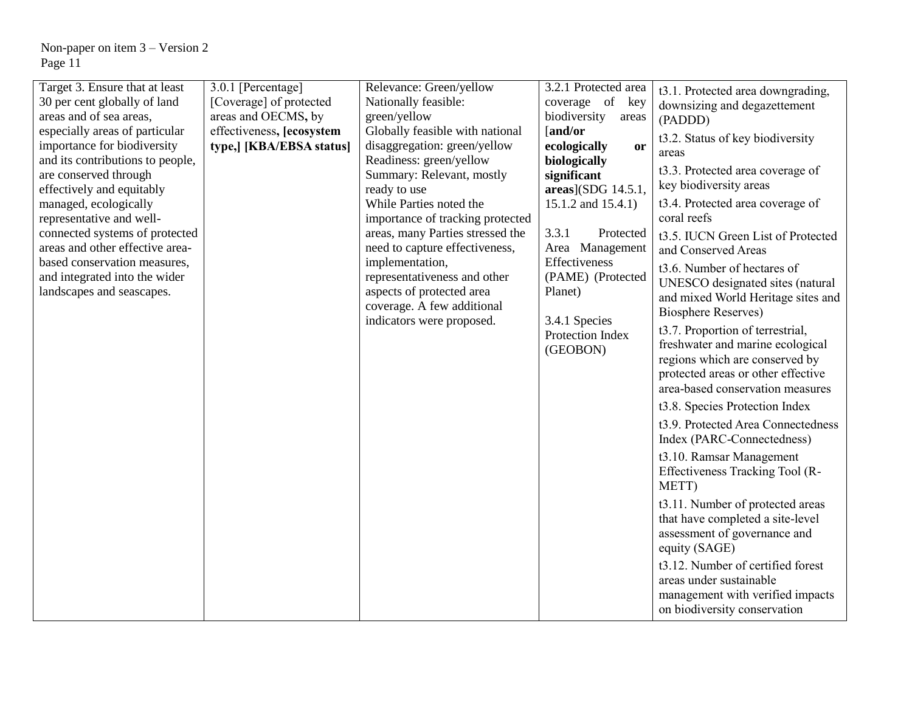| Target 3. Ensure that at least<br>30 per cent globally of land<br>areas and of sea areas,<br>especially areas of particular<br>importance for biodiversity<br>and its contributions to people,<br>are conserved through<br>effectively and equitably<br>managed, ecologically<br>representative and well-<br>connected systems of protected<br>areas and other effective area-<br>based conservation measures,<br>and integrated into the wider<br>landscapes and seascapes. | 3.0.1 [Percentage]<br>[Coverage] of protected<br>areas and OECMS, by<br>effectiveness, [ecosystem]<br>type,] [KBA/EBSA status] | Relevance: Green/yellow<br>Nationally feasible:<br>green/yellow<br>Globally feasible with national<br>disaggregation: green/yellow<br>Readiness: green/yellow<br>Summary: Relevant, mostly<br>ready to use<br>While Parties noted the<br>importance of tracking protected<br>areas, many Parties stressed the<br>need to capture effectiveness,<br>implementation,<br>representativeness and other<br>aspects of protected area<br>coverage. A few additional<br>indicators were proposed. | 3.2.1 Protected area<br>coverage of key<br>biodiversity<br>areas<br>[and/or<br>ecologically<br><b>or</b><br>biologically<br>significant<br>areas](SDG 14.5.1,<br>15.1.2 and 15.4.1)<br>3.3.1<br>Protected<br>Area Management<br>Effectiveness<br>(PAME) (Protected<br>Planet)<br>3.4.1 Species<br>Protection Index<br>(GEOBON) | t3.1. Protected area downgrading,<br>downsizing and degazettement<br>(PADDD)<br>t3.2. Status of key biodiversity<br>areas<br>t3.3. Protected area coverage of<br>key biodiversity areas<br>t3.4. Protected area coverage of<br>coral reefs<br>t3.5. IUCN Green List of Protected<br>and Conserved Areas<br>t3.6. Number of hectares of<br>UNESCO designated sites (natural<br>and mixed World Heritage sites and<br><b>Biosphere Reserves)</b><br>t3.7. Proportion of terrestrial,<br>freshwater and marine ecological<br>regions which are conserved by<br>protected areas or other effective<br>area-based conservation measures<br>t3.8. Species Protection Index<br>t3.9. Protected Area Connectedness<br>Index (PARC-Connectedness)<br>t3.10. Ramsar Management<br>Effectiveness Tracking Tool (R-<br>METT)<br>t3.11. Number of protected areas<br>that have completed a site-level<br>assessment of governance and<br>equity (SAGE)<br>t3.12. Number of certified forest<br>areas under sustainable<br>management with verified impacts<br>on biodiversity conservation |
|------------------------------------------------------------------------------------------------------------------------------------------------------------------------------------------------------------------------------------------------------------------------------------------------------------------------------------------------------------------------------------------------------------------------------------------------------------------------------|--------------------------------------------------------------------------------------------------------------------------------|--------------------------------------------------------------------------------------------------------------------------------------------------------------------------------------------------------------------------------------------------------------------------------------------------------------------------------------------------------------------------------------------------------------------------------------------------------------------------------------------|--------------------------------------------------------------------------------------------------------------------------------------------------------------------------------------------------------------------------------------------------------------------------------------------------------------------------------|-------------------------------------------------------------------------------------------------------------------------------------------------------------------------------------------------------------------------------------------------------------------------------------------------------------------------------------------------------------------------------------------------------------------------------------------------------------------------------------------------------------------------------------------------------------------------------------------------------------------------------------------------------------------------------------------------------------------------------------------------------------------------------------------------------------------------------------------------------------------------------------------------------------------------------------------------------------------------------------------------------------------------------------------------------------------------------|
|------------------------------------------------------------------------------------------------------------------------------------------------------------------------------------------------------------------------------------------------------------------------------------------------------------------------------------------------------------------------------------------------------------------------------------------------------------------------------|--------------------------------------------------------------------------------------------------------------------------------|--------------------------------------------------------------------------------------------------------------------------------------------------------------------------------------------------------------------------------------------------------------------------------------------------------------------------------------------------------------------------------------------------------------------------------------------------------------------------------------------|--------------------------------------------------------------------------------------------------------------------------------------------------------------------------------------------------------------------------------------------------------------------------------------------------------------------------------|-------------------------------------------------------------------------------------------------------------------------------------------------------------------------------------------------------------------------------------------------------------------------------------------------------------------------------------------------------------------------------------------------------------------------------------------------------------------------------------------------------------------------------------------------------------------------------------------------------------------------------------------------------------------------------------------------------------------------------------------------------------------------------------------------------------------------------------------------------------------------------------------------------------------------------------------------------------------------------------------------------------------------------------------------------------------------------|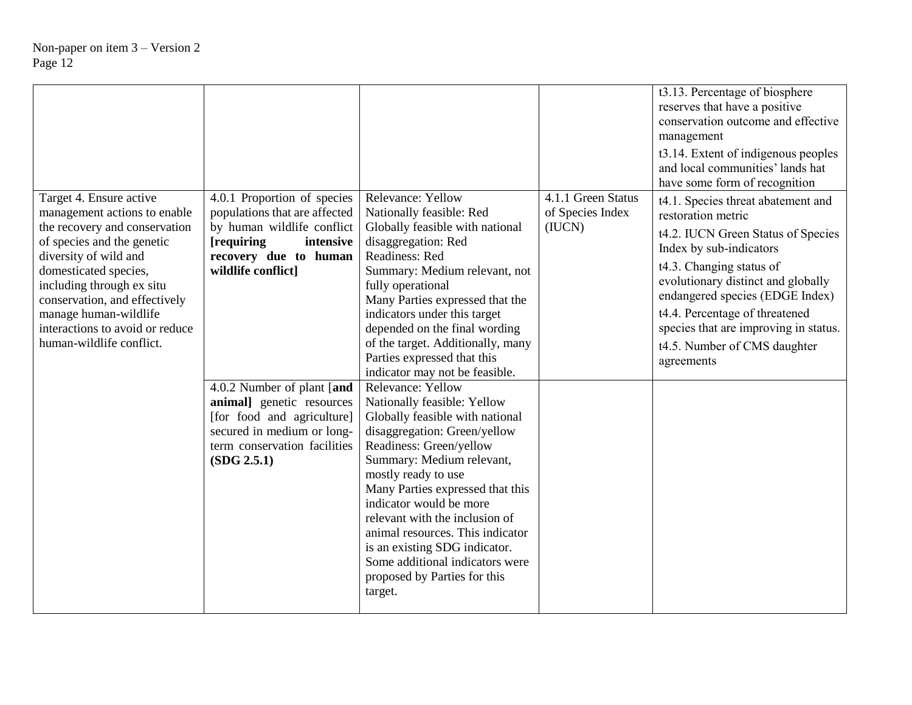|                                                                                                                                                                                                                                                                                                                                |                                                                                                                                                                                                                                                                                                                                             |                                                                                                                                                                                                                                                                                                                                                                                                                                                                                                                                                                                                                                                                                                                                                                                                                                                     |                                                  | t3.13. Percentage of biosphere<br>reserves that have a positive<br>conservation outcome and effective<br>management<br>t3.14. Extent of indigenous peoples<br>and local communities' lands hat<br>have some form of recognition                                                                                                                         |
|--------------------------------------------------------------------------------------------------------------------------------------------------------------------------------------------------------------------------------------------------------------------------------------------------------------------------------|---------------------------------------------------------------------------------------------------------------------------------------------------------------------------------------------------------------------------------------------------------------------------------------------------------------------------------------------|-----------------------------------------------------------------------------------------------------------------------------------------------------------------------------------------------------------------------------------------------------------------------------------------------------------------------------------------------------------------------------------------------------------------------------------------------------------------------------------------------------------------------------------------------------------------------------------------------------------------------------------------------------------------------------------------------------------------------------------------------------------------------------------------------------------------------------------------------------|--------------------------------------------------|---------------------------------------------------------------------------------------------------------------------------------------------------------------------------------------------------------------------------------------------------------------------------------------------------------------------------------------------------------|
| Target 4. Ensure active<br>management actions to enable<br>the recovery and conservation<br>of species and the genetic<br>diversity of wild and<br>domesticated species,<br>including through ex situ<br>conservation, and effectively<br>manage human-wildlife<br>interactions to avoid or reduce<br>human-wildlife conflict. | 4.0.1 Proportion of species<br>populations that are affected<br>by human wildlife conflict<br>[requiring]<br>intensive<br>recovery due to human<br>wildlife conflict]<br>4.0.2 Number of plant [and<br>animal] genetic resources<br>[for food and agriculture]<br>secured in medium or long-<br>term conservation facilities<br>(SDG 2.5.1) | Relevance: Yellow<br>Nationally feasible: Red<br>Globally feasible with national<br>disaggregation: Red<br>Readiness: Red<br>Summary: Medium relevant, not<br>fully operational<br>Many Parties expressed that the<br>indicators under this target<br>depended on the final wording<br>of the target. Additionally, many<br>Parties expressed that this<br>indicator may not be feasible.<br>Relevance: Yellow<br>Nationally feasible: Yellow<br>Globally feasible with national<br>disaggregation: Green/yellow<br>Readiness: Green/yellow<br>Summary: Medium relevant,<br>mostly ready to use<br>Many Parties expressed that this<br>indicator would be more<br>relevant with the inclusion of<br>animal resources. This indicator<br>is an existing SDG indicator.<br>Some additional indicators were<br>proposed by Parties for this<br>target. | 4.1.1 Green Status<br>of Species Index<br>(IUCN) | t4.1. Species threat abatement and<br>restoration metric<br>t4.2. IUCN Green Status of Species<br>Index by sub-indicators<br>t4.3. Changing status of<br>evolutionary distinct and globally<br>endangered species (EDGE Index)<br>t4.4. Percentage of threatened<br>species that are improving in status.<br>t4.5. Number of CMS daughter<br>agreements |
|                                                                                                                                                                                                                                                                                                                                |                                                                                                                                                                                                                                                                                                                                             |                                                                                                                                                                                                                                                                                                                                                                                                                                                                                                                                                                                                                                                                                                                                                                                                                                                     |                                                  |                                                                                                                                                                                                                                                                                                                                                         |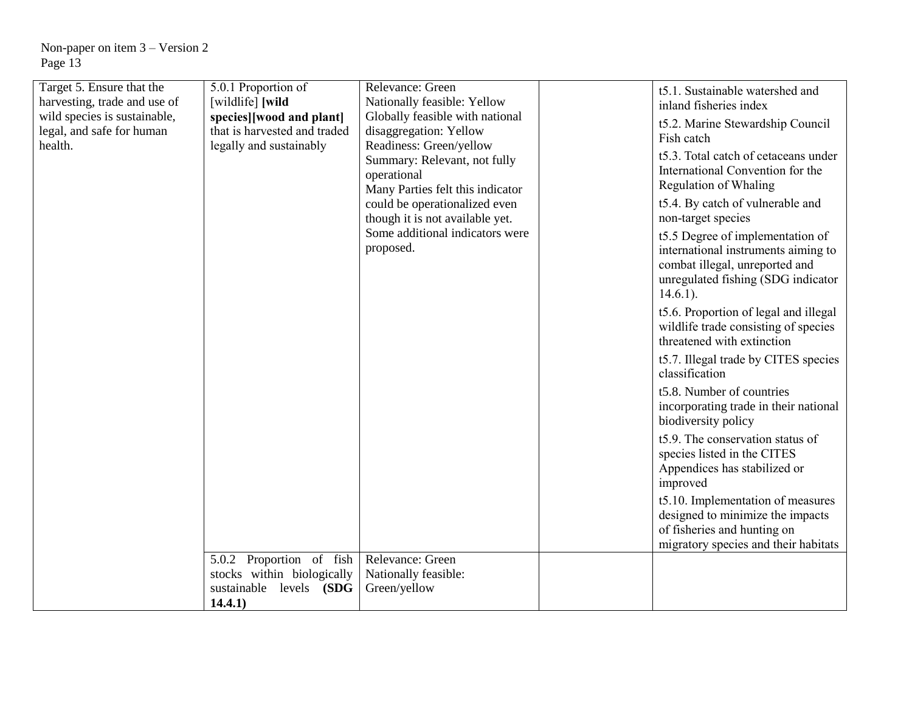| Target 5. Ensure that the<br>harvesting, trade and use of<br>wild species is sustainable,<br>legal, and safe for human<br>health. | 5.0.1 Proportion of<br>[wildlife] [wild<br>species][wood and plant]<br>that is harvested and traded<br>legally and sustainably | Relevance: Green<br>Nationally feasible: Yellow<br>Globally feasible with national<br>disaggregation: Yellow<br>Readiness: Green/yellow<br>Summary: Relevant, not fully<br>operational<br>Many Parties felt this indicator<br>could be operationalized even<br>though it is not available yet.<br>Some additional indicators were<br>proposed. | t5.1. Sustainable watershed and<br>inland fisheries index<br>t5.2. Marine Stewardship Council<br>Fish catch<br>t5.3. Total catch of cetaceans under<br>International Convention for the<br><b>Regulation of Whaling</b><br>t5.4. By catch of vulnerable and<br>non-target species<br>t5.5 Degree of implementation of<br>international instruments aiming to<br>combat illegal, unreported and<br>unregulated fishing (SDG indicator<br>$14.6.1$ ).<br>t5.6. Proportion of legal and illegal<br>wildlife trade consisting of species<br>threatened with extinction<br>t5.7. Illegal trade by CITES species<br>classification<br>t5.8. Number of countries<br>incorporating trade in their national<br>biodiversity policy<br>t5.9. The conservation status of<br>species listed in the CITES<br>Appendices has stabilized or<br>improved<br>t5.10. Implementation of measures<br>designed to minimize the impacts<br>of fisheries and hunting on<br>migratory species and their habitats |
|-----------------------------------------------------------------------------------------------------------------------------------|--------------------------------------------------------------------------------------------------------------------------------|------------------------------------------------------------------------------------------------------------------------------------------------------------------------------------------------------------------------------------------------------------------------------------------------------------------------------------------------|------------------------------------------------------------------------------------------------------------------------------------------------------------------------------------------------------------------------------------------------------------------------------------------------------------------------------------------------------------------------------------------------------------------------------------------------------------------------------------------------------------------------------------------------------------------------------------------------------------------------------------------------------------------------------------------------------------------------------------------------------------------------------------------------------------------------------------------------------------------------------------------------------------------------------------------------------------------------------------------|
|                                                                                                                                   | 5.0.2 Proportion of fish<br>stocks within biologically<br>sustainable levels (SDG<br>14.4.1)                                   | Relevance: Green<br>Nationally feasible:<br>Green/yellow                                                                                                                                                                                                                                                                                       |                                                                                                                                                                                                                                                                                                                                                                                                                                                                                                                                                                                                                                                                                                                                                                                                                                                                                                                                                                                          |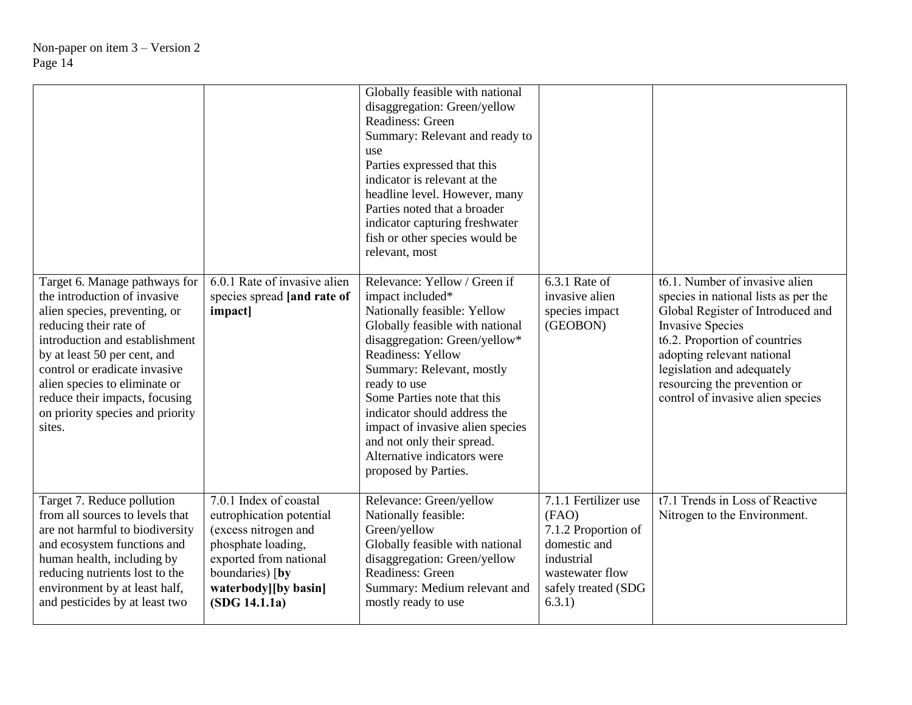|                                                                                                                                                                                                                                                                                                                                              |                                                                                                                                                                                        | Globally feasible with national<br>disaggregation: Green/yellow<br>Readiness: Green<br>Summary: Relevant and ready to<br>use<br>Parties expressed that this<br>indicator is relevant at the<br>headline level. However, many<br>Parties noted that a broader<br>indicator capturing freshwater<br>fish or other species would be<br>relevant, most                                                                   |                                                                                                                                        |                                                                                                                                                                                                                                                                                                          |
|----------------------------------------------------------------------------------------------------------------------------------------------------------------------------------------------------------------------------------------------------------------------------------------------------------------------------------------------|----------------------------------------------------------------------------------------------------------------------------------------------------------------------------------------|----------------------------------------------------------------------------------------------------------------------------------------------------------------------------------------------------------------------------------------------------------------------------------------------------------------------------------------------------------------------------------------------------------------------|----------------------------------------------------------------------------------------------------------------------------------------|----------------------------------------------------------------------------------------------------------------------------------------------------------------------------------------------------------------------------------------------------------------------------------------------------------|
| Target 6. Manage pathways for<br>the introduction of invasive<br>alien species, preventing, or<br>reducing their rate of<br>introduction and establishment<br>by at least 50 per cent, and<br>control or eradicate invasive<br>alien species to eliminate or<br>reduce their impacts, focusing<br>on priority species and priority<br>sites. | 6.0.1 Rate of invasive alien<br>species spread [and rate of<br>impact]                                                                                                                 | Relevance: Yellow / Green if<br>impact included*<br>Nationally feasible: Yellow<br>Globally feasible with national<br>disaggregation: Green/yellow*<br><b>Readiness: Yellow</b><br>Summary: Relevant, mostly<br>ready to use<br>Some Parties note that this<br>indicator should address the<br>impact of invasive alien species<br>and not only their spread.<br>Alternative indicators were<br>proposed by Parties. | 6.3.1 Rate of<br>invasive alien<br>species impact<br>(GEOBON)                                                                          | t6.1. Number of invasive alien<br>species in national lists as per the<br>Global Register of Introduced and<br><b>Invasive Species</b><br>t6.2. Proportion of countries<br>adopting relevant national<br>legislation and adequately<br>resourcing the prevention or<br>control of invasive alien species |
| Target 7. Reduce pollution<br>from all sources to levels that<br>are not harmful to biodiversity<br>and ecosystem functions and<br>human health, including by<br>reducing nutrients lost to the<br>environment by at least half,<br>and pesticides by at least two                                                                           | 7.0.1 Index of coastal<br>eutrophication potential<br>(excess nitrogen and<br>phosphate loading,<br>exported from national<br>boundaries) [by<br>waterbody][by basin]<br>(SDG 14.1.1a) | Relevance: Green/yellow<br>Nationally feasible:<br>Green/yellow<br>Globally feasible with national<br>disaggregation: Green/yellow<br>Readiness: Green<br>Summary: Medium relevant and<br>mostly ready to use                                                                                                                                                                                                        | 7.1.1 Fertilizer use<br>(FAO)<br>7.1.2 Proportion of<br>domestic and<br>industrial<br>wastewater flow<br>safely treated (SDG<br>6.3.1) | t7.1 Trends in Loss of Reactive<br>Nitrogen to the Environment.                                                                                                                                                                                                                                          |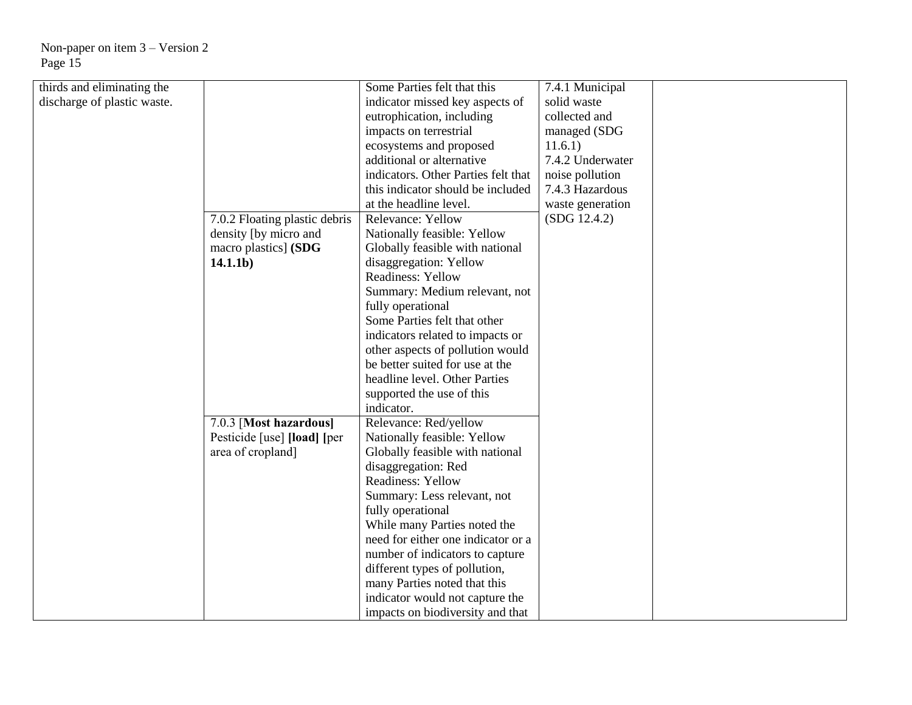| thirds and eliminating the  |                               | Some Parties felt that this         | 7.4.1 Municipal  |  |
|-----------------------------|-------------------------------|-------------------------------------|------------------|--|
| discharge of plastic waste. |                               | indicator missed key aspects of     | solid waste      |  |
|                             |                               | eutrophication, including           | collected and    |  |
|                             |                               | impacts on terrestrial              | managed (SDG     |  |
|                             |                               | ecosystems and proposed             | 11.6.1)          |  |
|                             |                               | additional or alternative           | 7.4.2 Underwater |  |
|                             |                               | indicators. Other Parties felt that |                  |  |
|                             |                               |                                     | noise pollution  |  |
|                             |                               | this indicator should be included   | 7.4.3 Hazardous  |  |
|                             |                               | at the headline level.              | waste generation |  |
|                             | 7.0.2 Floating plastic debris | Relevance: Yellow                   | (SDG 12.4.2)     |  |
|                             | density [by micro and         | Nationally feasible: Yellow         |                  |  |
|                             | macro plastics] (SDG          | Globally feasible with national     |                  |  |
|                             | 14.1.1 <sub>b</sub>           | disaggregation: Yellow              |                  |  |
|                             |                               | <b>Readiness: Yellow</b>            |                  |  |
|                             |                               | Summary: Medium relevant, not       |                  |  |
|                             |                               | fully operational                   |                  |  |
|                             |                               | Some Parties felt that other        |                  |  |
|                             |                               | indicators related to impacts or    |                  |  |
|                             |                               | other aspects of pollution would    |                  |  |
|                             |                               | be better suited for use at the     |                  |  |
|                             |                               | headline level. Other Parties       |                  |  |
|                             |                               | supported the use of this           |                  |  |
|                             |                               | indicator.                          |                  |  |
|                             | 7.0.3 [Most hazardous]        | Relevance: Red/yellow               |                  |  |
|                             | Pesticide [use] [load] [per   | Nationally feasible: Yellow         |                  |  |
|                             | area of cropland]             | Globally feasible with national     |                  |  |
|                             |                               | disaggregation: Red                 |                  |  |
|                             |                               | <b>Readiness: Yellow</b>            |                  |  |
|                             |                               |                                     |                  |  |
|                             |                               | Summary: Less relevant, not         |                  |  |
|                             |                               | fully operational                   |                  |  |
|                             |                               | While many Parties noted the        |                  |  |
|                             |                               | need for either one indicator or a  |                  |  |
|                             |                               | number of indicators to capture     |                  |  |
|                             |                               | different types of pollution,       |                  |  |
|                             |                               | many Parties noted that this        |                  |  |
|                             |                               | indicator would not capture the     |                  |  |
|                             |                               | impacts on biodiversity and that    |                  |  |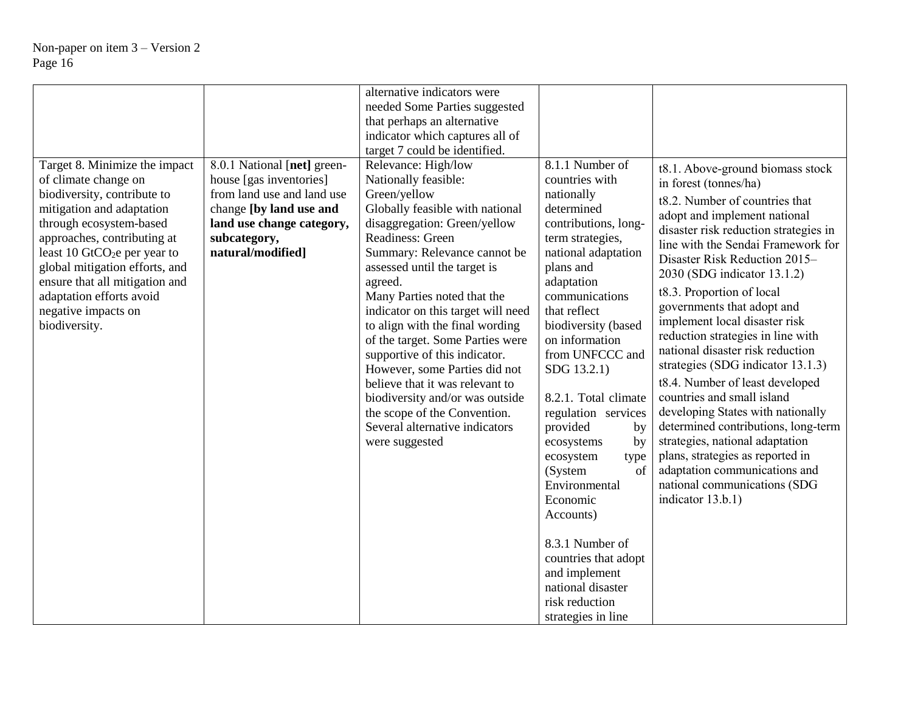|                                                                                                                                                                                                                                                                                                                                                                 |                                                                                                                                                                                   | alternative indicators were                                                                                                                                                                                                                                                                                                                                                                                                                                                                                                                                                                           |                                                                                                                                                                                                                                                                                                                                                                                                                                                                                                           |                                                                                                                                                                                                                                                                                                                                                                                                                                                                                                                                                                                                                                                                                                                                                                                                |
|-----------------------------------------------------------------------------------------------------------------------------------------------------------------------------------------------------------------------------------------------------------------------------------------------------------------------------------------------------------------|-----------------------------------------------------------------------------------------------------------------------------------------------------------------------------------|-------------------------------------------------------------------------------------------------------------------------------------------------------------------------------------------------------------------------------------------------------------------------------------------------------------------------------------------------------------------------------------------------------------------------------------------------------------------------------------------------------------------------------------------------------------------------------------------------------|-----------------------------------------------------------------------------------------------------------------------------------------------------------------------------------------------------------------------------------------------------------------------------------------------------------------------------------------------------------------------------------------------------------------------------------------------------------------------------------------------------------|------------------------------------------------------------------------------------------------------------------------------------------------------------------------------------------------------------------------------------------------------------------------------------------------------------------------------------------------------------------------------------------------------------------------------------------------------------------------------------------------------------------------------------------------------------------------------------------------------------------------------------------------------------------------------------------------------------------------------------------------------------------------------------------------|
|                                                                                                                                                                                                                                                                                                                                                                 |                                                                                                                                                                                   | needed Some Parties suggested                                                                                                                                                                                                                                                                                                                                                                                                                                                                                                                                                                         |                                                                                                                                                                                                                                                                                                                                                                                                                                                                                                           |                                                                                                                                                                                                                                                                                                                                                                                                                                                                                                                                                                                                                                                                                                                                                                                                |
|                                                                                                                                                                                                                                                                                                                                                                 |                                                                                                                                                                                   | that perhaps an alternative                                                                                                                                                                                                                                                                                                                                                                                                                                                                                                                                                                           |                                                                                                                                                                                                                                                                                                                                                                                                                                                                                                           |                                                                                                                                                                                                                                                                                                                                                                                                                                                                                                                                                                                                                                                                                                                                                                                                |
|                                                                                                                                                                                                                                                                                                                                                                 |                                                                                                                                                                                   | indicator which captures all of                                                                                                                                                                                                                                                                                                                                                                                                                                                                                                                                                                       |                                                                                                                                                                                                                                                                                                                                                                                                                                                                                                           |                                                                                                                                                                                                                                                                                                                                                                                                                                                                                                                                                                                                                                                                                                                                                                                                |
|                                                                                                                                                                                                                                                                                                                                                                 |                                                                                                                                                                                   | target 7 could be identified.                                                                                                                                                                                                                                                                                                                                                                                                                                                                                                                                                                         |                                                                                                                                                                                                                                                                                                                                                                                                                                                                                                           |                                                                                                                                                                                                                                                                                                                                                                                                                                                                                                                                                                                                                                                                                                                                                                                                |
| Target 8. Minimize the impact<br>of climate change on<br>biodiversity, contribute to<br>mitigation and adaptation<br>through ecosystem-based<br>approaches, contributing at<br>least 10 GtCO <sub>2</sub> e per year to<br>global mitigation efforts, and<br>ensure that all mitigation and<br>adaptation efforts avoid<br>negative impacts on<br>biodiversity. | 8.0.1 National [net] green-<br>house [gas inventories]<br>from land use and land use<br>change [by land use and<br>land use change category,<br>subcategory,<br>natural/modified] | Relevance: High/low<br>Nationally feasible:<br>Green/yellow<br>Globally feasible with national<br>disaggregation: Green/yellow<br>Readiness: Green<br>Summary: Relevance cannot be<br>assessed until the target is<br>agreed.<br>Many Parties noted that the<br>indicator on this target will need<br>to align with the final wording<br>of the target. Some Parties were<br>supportive of this indicator.<br>However, some Parties did not<br>believe that it was relevant to<br>biodiversity and/or was outside<br>the scope of the Convention.<br>Several alternative indicators<br>were suggested | 8.1.1 Number of<br>countries with<br>nationally<br>determined<br>contributions, long-<br>term strategies,<br>national adaptation<br>plans and<br>adaptation<br>communications<br>that reflect<br>biodiversity (based<br>on information<br>from UNFCCC and<br>SDG 13.2.1)<br>8.2.1. Total climate<br>regulation services<br>provided<br>by<br>ecosystems<br>by<br>ecosystem<br>type<br>(System<br>of<br>Environmental<br>Economic<br>Accounts)<br>8.3.1 Number of<br>countries that adopt<br>and implement | t8.1. Above-ground biomass stock<br>in forest (tonnes/ha)<br>t8.2. Number of countries that<br>adopt and implement national<br>disaster risk reduction strategies in<br>line with the Sendai Framework for<br>Disaster Risk Reduction 2015-<br>2030 (SDG indicator 13.1.2)<br>t8.3. Proportion of local<br>governments that adopt and<br>implement local disaster risk<br>reduction strategies in line with<br>national disaster risk reduction<br>strategies (SDG indicator 13.1.3)<br>t8.4. Number of least developed<br>countries and small island<br>developing States with nationally<br>determined contributions, long-term<br>strategies, national adaptation<br>plans, strategies as reported in<br>adaptation communications and<br>national communications (SDG<br>indicator 13.b.1) |
|                                                                                                                                                                                                                                                                                                                                                                 |                                                                                                                                                                                   |                                                                                                                                                                                                                                                                                                                                                                                                                                                                                                                                                                                                       | national disaster                                                                                                                                                                                                                                                                                                                                                                                                                                                                                         |                                                                                                                                                                                                                                                                                                                                                                                                                                                                                                                                                                                                                                                                                                                                                                                                |
|                                                                                                                                                                                                                                                                                                                                                                 |                                                                                                                                                                                   |                                                                                                                                                                                                                                                                                                                                                                                                                                                                                                                                                                                                       | risk reduction                                                                                                                                                                                                                                                                                                                                                                                                                                                                                            |                                                                                                                                                                                                                                                                                                                                                                                                                                                                                                                                                                                                                                                                                                                                                                                                |
|                                                                                                                                                                                                                                                                                                                                                                 |                                                                                                                                                                                   |                                                                                                                                                                                                                                                                                                                                                                                                                                                                                                                                                                                                       | strategies in line                                                                                                                                                                                                                                                                                                                                                                                                                                                                                        |                                                                                                                                                                                                                                                                                                                                                                                                                                                                                                                                                                                                                                                                                                                                                                                                |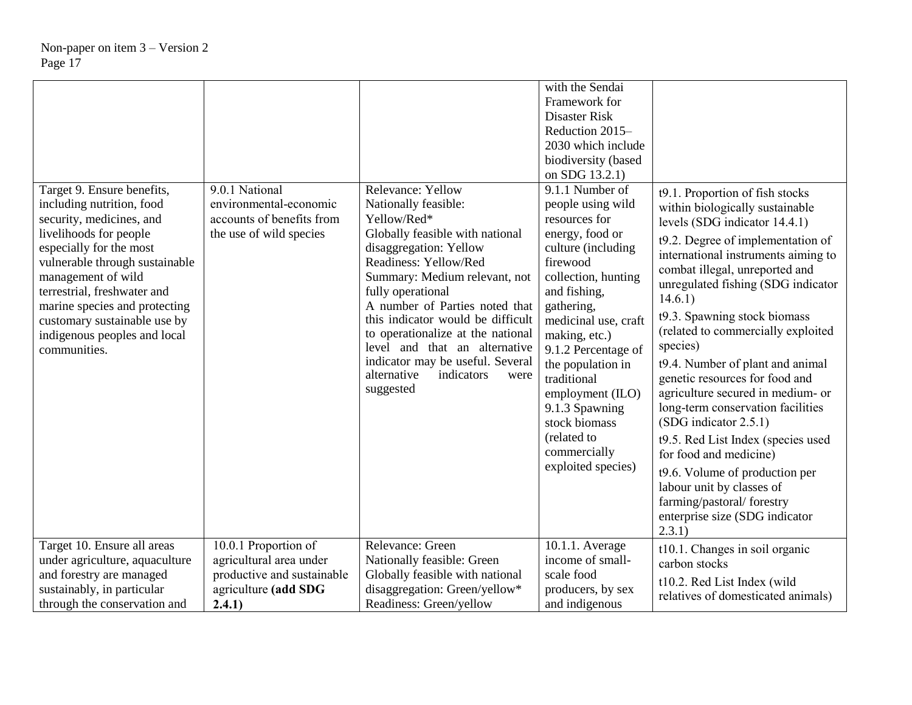|                                                                                                                                                                                                                                                                                                                                                  |                                                                                                  |                                                                                                                                                                                                                                                                                                                                                                                                                                         | with the Sendai<br>Framework for<br>Disaster Risk<br>Reduction 2015-<br>2030 which include<br>biodiversity (based<br>on SDG 13.2.1)                                                                                                                                                                                                                                             |                                                                                                                                                                                                                                                                                                                                                                                                                                                                                                                                                                                                                                                                                                                                                |
|--------------------------------------------------------------------------------------------------------------------------------------------------------------------------------------------------------------------------------------------------------------------------------------------------------------------------------------------------|--------------------------------------------------------------------------------------------------|-----------------------------------------------------------------------------------------------------------------------------------------------------------------------------------------------------------------------------------------------------------------------------------------------------------------------------------------------------------------------------------------------------------------------------------------|---------------------------------------------------------------------------------------------------------------------------------------------------------------------------------------------------------------------------------------------------------------------------------------------------------------------------------------------------------------------------------|------------------------------------------------------------------------------------------------------------------------------------------------------------------------------------------------------------------------------------------------------------------------------------------------------------------------------------------------------------------------------------------------------------------------------------------------------------------------------------------------------------------------------------------------------------------------------------------------------------------------------------------------------------------------------------------------------------------------------------------------|
| Target 9. Ensure benefits,<br>including nutrition, food<br>security, medicines, and<br>livelihoods for people<br>especially for the most<br>vulnerable through sustainable<br>management of wild<br>terrestrial, freshwater and<br>marine species and protecting<br>customary sustainable use by<br>indigenous peoples and local<br>communities. | 9.0.1 National<br>environmental-economic<br>accounts of benefits from<br>the use of wild species | Relevance: Yellow<br>Nationally feasible:<br>Yellow/Red*<br>Globally feasible with national<br>disaggregation: Yellow<br>Readiness: Yellow/Red<br>Summary: Medium relevant, not<br>fully operational<br>A number of Parties noted that<br>this indicator would be difficult<br>to operationalize at the national<br>level and that an alternative<br>indicator may be useful. Several<br>alternative<br>indicators<br>were<br>suggested | 9.1.1 Number of<br>people using wild<br>resources for<br>energy, food or<br>culture (including<br>firewood<br>collection, hunting<br>and fishing,<br>gathering,<br>medicinal use, craft<br>making, etc.)<br>9.1.2 Percentage of<br>the population in<br>traditional<br>employment (ILO)<br>9.1.3 Spawning<br>stock biomass<br>(related to<br>commercially<br>exploited species) | t9.1. Proportion of fish stocks<br>within biologically sustainable<br>levels (SDG indicator 14.4.1)<br>t9.2. Degree of implementation of<br>international instruments aiming to<br>combat illegal, unreported and<br>unregulated fishing (SDG indicator<br>14.6.1)<br>t9.3. Spawning stock biomass<br>(related to commercially exploited<br>species)<br>t9.4. Number of plant and animal<br>genetic resources for food and<br>agriculture secured in medium- or<br>long-term conservation facilities<br>$(SDG\text{ indicator }2.5.1)$<br>t9.5. Red List Index (species used<br>for food and medicine)<br>t9.6. Volume of production per<br>labour unit by classes of<br>farming/pastoral/forestry<br>enterprise size (SDG indicator<br>2.3.1) |
| Target 10. Ensure all areas                                                                                                                                                                                                                                                                                                                      | 10.0.1 Proportion of                                                                             | Relevance: Green                                                                                                                                                                                                                                                                                                                                                                                                                        | 10.1.1. Average                                                                                                                                                                                                                                                                                                                                                                 | t10.1. Changes in soil organic                                                                                                                                                                                                                                                                                                                                                                                                                                                                                                                                                                                                                                                                                                                 |
| under agriculture, aquaculture<br>and forestry are managed                                                                                                                                                                                                                                                                                       | agricultural area under<br>productive and sustainable                                            | Nationally feasible: Green<br>Globally feasible with national                                                                                                                                                                                                                                                                                                                                                                           | income of small-<br>scale food                                                                                                                                                                                                                                                                                                                                                  | carbon stocks                                                                                                                                                                                                                                                                                                                                                                                                                                                                                                                                                                                                                                                                                                                                  |
| sustainably, in particular                                                                                                                                                                                                                                                                                                                       | agriculture (add SDG                                                                             | disaggregation: Green/yellow*                                                                                                                                                                                                                                                                                                                                                                                                           | producers, by sex                                                                                                                                                                                                                                                                                                                                                               | t10.2. Red List Index (wild                                                                                                                                                                                                                                                                                                                                                                                                                                                                                                                                                                                                                                                                                                                    |
| through the conservation and                                                                                                                                                                                                                                                                                                                     | 2.4.1)                                                                                           | Readiness: Green/yellow                                                                                                                                                                                                                                                                                                                                                                                                                 | and indigenous                                                                                                                                                                                                                                                                                                                                                                  | relatives of domesticated animals)                                                                                                                                                                                                                                                                                                                                                                                                                                                                                                                                                                                                                                                                                                             |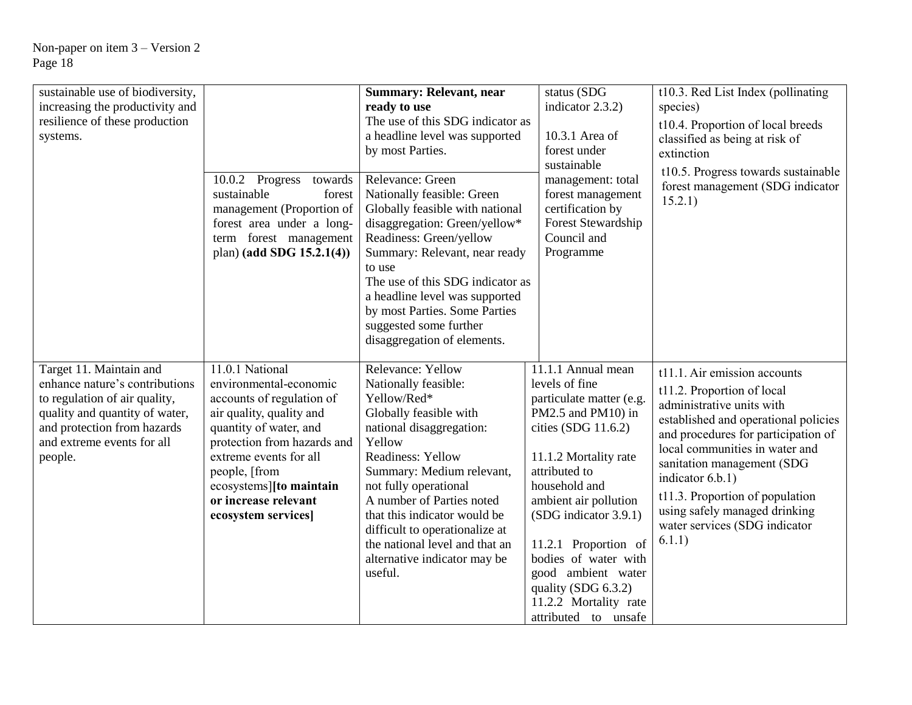| sustainable use of biodiversity,<br>increasing the productivity and<br>resilience of these production<br>systems.                                                                                    | 10.0.2 Progress<br>towards<br>sustainable<br>forest<br>management (Proportion of<br>forest area under a long-<br>term forest management<br>plan) (add SDG $15.2.1(4)$ )                                                                                                          | <b>Summary: Relevant, near</b><br>ready to use<br>The use of this SDG indicator as<br>a headline level was supported<br>by most Parties.<br>Relevance: Green<br>Nationally feasible: Green<br>Globally feasible with national<br>disaggregation: Green/yellow*<br>Readiness: Green/yellow<br>Summary: Relevant, near ready<br>to use<br>The use of this SDG indicator as<br>a headline level was supported<br>by most Parties. Some Parties | status (SDG<br>indicator 2.3.2)<br>10.3.1 Area of<br>forest under<br>sustainable<br>management: total<br>forest management<br>certification by<br>Forest Stewardship<br>Council and<br>Programme                                                                                                                        | t10.3. Red List Index (pollinating<br>species)<br>t10.4. Proportion of local breeds<br>classified as being at risk of<br>extinction<br>t10.5. Progress towards sustainable<br>forest management (SDG indicator<br>15.2.1)                                                                                                                                                 |
|------------------------------------------------------------------------------------------------------------------------------------------------------------------------------------------------------|----------------------------------------------------------------------------------------------------------------------------------------------------------------------------------------------------------------------------------------------------------------------------------|---------------------------------------------------------------------------------------------------------------------------------------------------------------------------------------------------------------------------------------------------------------------------------------------------------------------------------------------------------------------------------------------------------------------------------------------|-------------------------------------------------------------------------------------------------------------------------------------------------------------------------------------------------------------------------------------------------------------------------------------------------------------------------|---------------------------------------------------------------------------------------------------------------------------------------------------------------------------------------------------------------------------------------------------------------------------------------------------------------------------------------------------------------------------|
|                                                                                                                                                                                                      |                                                                                                                                                                                                                                                                                  | suggested some further<br>disaggregation of elements.                                                                                                                                                                                                                                                                                                                                                                                       |                                                                                                                                                                                                                                                                                                                         |                                                                                                                                                                                                                                                                                                                                                                           |
| Target 11. Maintain and<br>enhance nature's contributions<br>to regulation of air quality,<br>quality and quantity of water,<br>and protection from hazards<br>and extreme events for all<br>people. | 11.0.1 National<br>environmental-economic<br>accounts of regulation of<br>air quality, quality and<br>quantity of water, and<br>protection from hazards and<br>extreme events for all<br>people, [from<br>ecosystems][to maintain<br>or increase relevant<br>ecosystem services] | Relevance: Yellow<br>Nationally feasible:<br>Yellow/Red*<br>Globally feasible with<br>national disaggregation:<br>Yellow<br>Readiness: Yellow<br>Summary: Medium relevant,<br>not fully operational<br>A number of Parties noted<br>that this indicator would be<br>difficult to operationalize at<br>the national level and that an<br>alternative indicator may be<br>useful.                                                             | 11.1.1 Annual mean<br>levels of fine<br>particulate matter (e.g.<br>PM2.5 and PM10) in<br>cities (SDG 11.6.2)<br>11.1.2 Mortality rate<br>attributed to<br>household and<br>ambient air pollution<br>(SDG indicator 3.9.1)<br>11.2.1 Proportion of<br>bodies of water with<br>good ambient water<br>quality (SDG 6.3.2) | t11.1. Air emission accounts<br>t11.2. Proportion of local<br>administrative units with<br>established and operational policies<br>and procedures for participation of<br>local communities in water and<br>sanitation management (SDG<br>indicator 6.b.1)<br>t11.3. Proportion of population<br>using safely managed drinking<br>water services (SDG indicator<br>6.1.1) |
|                                                                                                                                                                                                      |                                                                                                                                                                                                                                                                                  |                                                                                                                                                                                                                                                                                                                                                                                                                                             | 11.2.2 Mortality rate<br>attributed to unsafe                                                                                                                                                                                                                                                                           |                                                                                                                                                                                                                                                                                                                                                                           |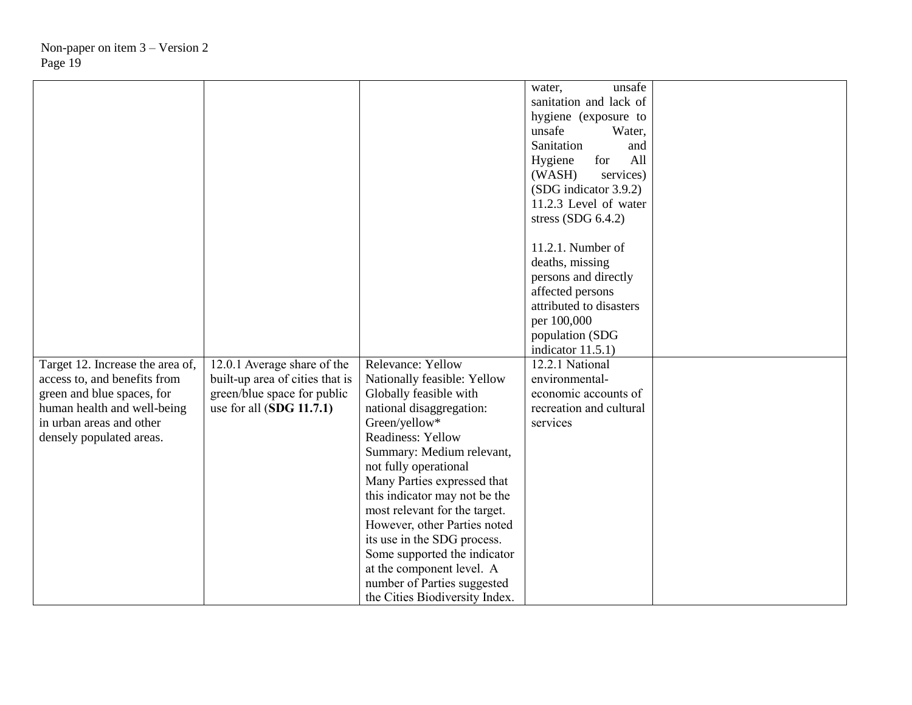|                                                                                                                                                                                       |                                                                                                                             |                                                                                                                                                                                                                                                                                                                                                                                                                                                                                                         | unsafe<br>water,<br>sanitation and lack of<br>hygiene (exposure to<br>unsafe<br>Water,<br>Sanitation<br>and<br>All<br>Hygiene<br>for<br>(WASH)<br>services)<br>(SDG indicator 3.9.2)<br>11.2.3 Level of water<br>stress $(SDG 6.4.2)$ |  |
|---------------------------------------------------------------------------------------------------------------------------------------------------------------------------------------|-----------------------------------------------------------------------------------------------------------------------------|---------------------------------------------------------------------------------------------------------------------------------------------------------------------------------------------------------------------------------------------------------------------------------------------------------------------------------------------------------------------------------------------------------------------------------------------------------------------------------------------------------|---------------------------------------------------------------------------------------------------------------------------------------------------------------------------------------------------------------------------------------|--|
|                                                                                                                                                                                       |                                                                                                                             |                                                                                                                                                                                                                                                                                                                                                                                                                                                                                                         | 11.2.1. Number of<br>deaths, missing<br>persons and directly<br>affected persons<br>attributed to disasters<br>per 100,000<br>population (SDG<br>indicator $11.5.1$ )                                                                 |  |
| Target 12. Increase the area of,<br>access to, and benefits from<br>green and blue spaces, for<br>human health and well-being<br>in urban areas and other<br>densely populated areas. | 12.0.1 Average share of the<br>built-up area of cities that is<br>green/blue space for public<br>use for all $(SDG 11.7.1)$ | Relevance: Yellow<br>Nationally feasible: Yellow<br>Globally feasible with<br>national disaggregation:<br>Green/yellow*<br><b>Readiness: Yellow</b><br>Summary: Medium relevant,<br>not fully operational<br>Many Parties expressed that<br>this indicator may not be the<br>most relevant for the target.<br>However, other Parties noted<br>its use in the SDG process.<br>Some supported the indicator<br>at the component level. A<br>number of Parties suggested<br>the Cities Biodiversity Index. | 12.2.1 National<br>environmental-<br>economic accounts of<br>recreation and cultural<br>services                                                                                                                                      |  |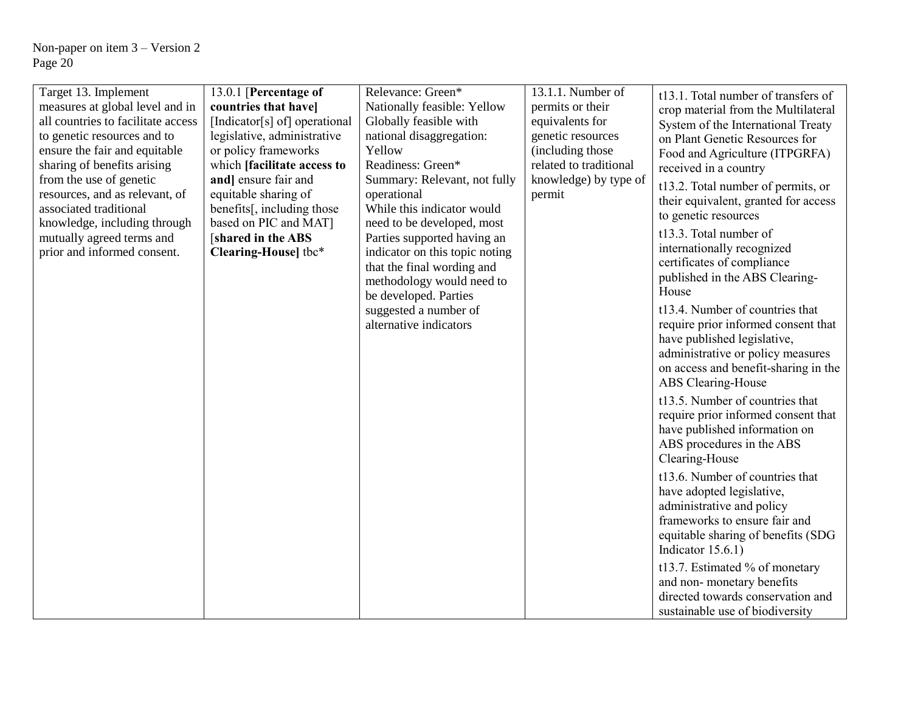| Target 13. Implement                                         | 13.0.1 [Percentage of                               | Relevance: Green*                               | 13.1.1. Number of                     | t13.1. Total number of transfers of                        |
|--------------------------------------------------------------|-----------------------------------------------------|-------------------------------------------------|---------------------------------------|------------------------------------------------------------|
| measures at global level and in                              | countries that have]                                | Nationally feasible: Yellow                     | permits or their                      | crop material from the Multilateral                        |
| all countries to facilitate access                           | [Indicator[s] of] operational                       | Globally feasible with                          | equivalents for                       | System of the International Treaty                         |
| to genetic resources and to<br>ensure the fair and equitable | legislative, administrative<br>or policy frameworks | national disaggregation:<br>Yellow              | genetic resources<br>(including those | on Plant Genetic Resources for                             |
| sharing of benefits arising                                  | which [facilitate access to                         | Readiness: Green*                               | related to traditional                | Food and Agriculture (ITPGRFA)                             |
| from the use of genetic                                      | and] ensure fair and                                | Summary: Relevant, not fully                    | knowledge) by type of                 | received in a country                                      |
| resources, and as relevant, of                               | equitable sharing of                                | operational                                     | permit                                | t13.2. Total number of permits, or                         |
| associated traditional                                       | benefits[, including those                          | While this indicator would                      |                                       | their equivalent, granted for access                       |
| knowledge, including through                                 | based on PIC and MAT]                               | need to be developed, most                      |                                       | to genetic resources                                       |
| mutually agreed terms and                                    | [shared in the ABS                                  | Parties supported having an                     |                                       | t13.3. Total number of                                     |
| prior and informed consent.                                  | Clearing-House] tbc*                                | indicator on this topic noting                  |                                       | internationally recognized                                 |
|                                                              |                                                     | that the final wording and                      |                                       | certificates of compliance                                 |
|                                                              |                                                     | methodology would need to                       |                                       | published in the ABS Clearing-<br>House                    |
|                                                              |                                                     | be developed. Parties                           |                                       | t13.4. Number of countries that                            |
|                                                              |                                                     | suggested a number of<br>alternative indicators |                                       | require prior informed consent that                        |
|                                                              |                                                     |                                                 |                                       | have published legislative,                                |
|                                                              |                                                     |                                                 |                                       | administrative or policy measures                          |
|                                                              |                                                     |                                                 |                                       | on access and benefit-sharing in the                       |
|                                                              |                                                     |                                                 |                                       | ABS Clearing-House                                         |
|                                                              |                                                     |                                                 |                                       | t13.5. Number of countries that                            |
|                                                              |                                                     |                                                 |                                       | require prior informed consent that                        |
|                                                              |                                                     |                                                 |                                       | have published information on                              |
|                                                              |                                                     |                                                 |                                       | ABS procedures in the ABS                                  |
|                                                              |                                                     |                                                 |                                       | Clearing-House                                             |
|                                                              |                                                     |                                                 |                                       | t13.6. Number of countries that                            |
|                                                              |                                                     |                                                 |                                       | have adopted legislative,                                  |
|                                                              |                                                     |                                                 |                                       | administrative and policy<br>frameworks to ensure fair and |
|                                                              |                                                     |                                                 |                                       | equitable sharing of benefits (SDG                         |
|                                                              |                                                     |                                                 |                                       | Indicator $15.6.1$ )                                       |
|                                                              |                                                     |                                                 |                                       | t13.7. Estimated % of monetary                             |
|                                                              |                                                     |                                                 |                                       | and non-monetary benefits                                  |
|                                                              |                                                     |                                                 |                                       | directed towards conservation and                          |
|                                                              |                                                     |                                                 |                                       | sustainable use of biodiversity                            |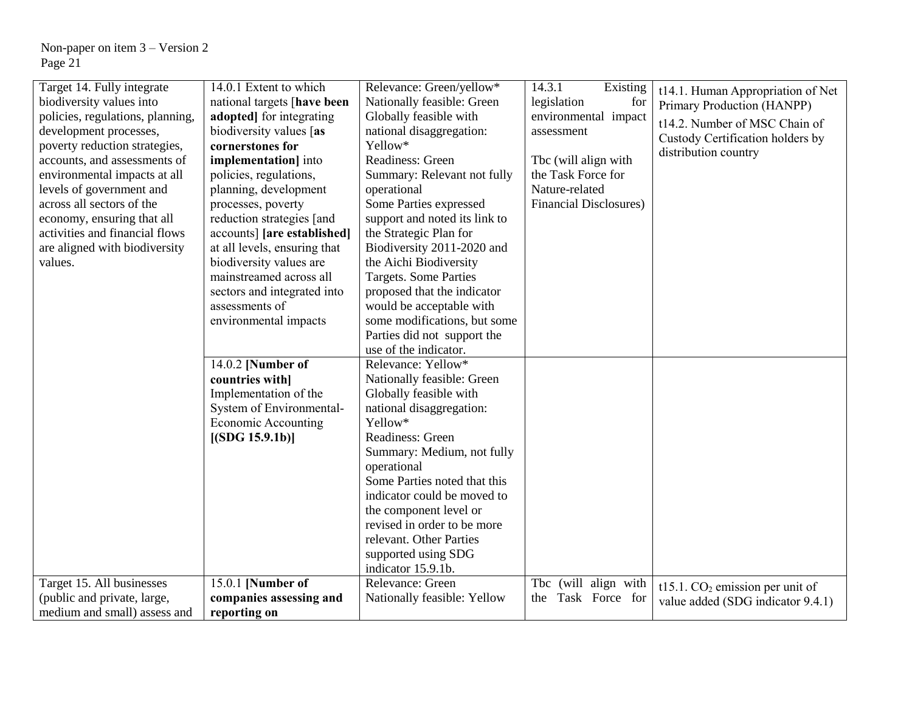| Target 14. Fully integrate       | 14.0.1 Extent to which       | Relevance: Green/yellow*      | 14.3.1<br>Existing             | t14.1. Human Appropriation of Net              |
|----------------------------------|------------------------------|-------------------------------|--------------------------------|------------------------------------------------|
| biodiversity values into         | national targets [have been  | Nationally feasible: Green    | legislation<br>for             | Primary Production (HANPP)                     |
| policies, regulations, planning, | adopted] for integrating     | Globally feasible with        | environmental impact           |                                                |
| development processes,           | biodiversity values [as      | national disaggregation:      | assessment                     | t14.2. Number of MSC Chain of                  |
| poverty reduction strategies,    | cornerstones for             | Yellow*                       |                                | Custody Certification holders by               |
| accounts, and assessments of     | implementation] into         | Readiness: Green              | Tbc (will align with           | distribution country                           |
| environmental impacts at all     | policies, regulations,       | Summary: Relevant not fully   | the Task Force for             |                                                |
| levels of government and         | planning, development        | operational                   | Nature-related                 |                                                |
| across all sectors of the        | processes, poverty           | Some Parties expressed        | <b>Financial Disclosures</b> ) |                                                |
| economy, ensuring that all       | reduction strategies [and    | support and noted its link to |                                |                                                |
| activities and financial flows   | accounts] [are established]  | the Strategic Plan for        |                                |                                                |
| are aligned with biodiversity    | at all levels, ensuring that | Biodiversity 2011-2020 and    |                                |                                                |
| values.                          | biodiversity values are      | the Aichi Biodiversity        |                                |                                                |
|                                  | mainstreamed across all      | <b>Targets. Some Parties</b>  |                                |                                                |
|                                  | sectors and integrated into  | proposed that the indicator   |                                |                                                |
|                                  | assessments of               | would be acceptable with      |                                |                                                |
|                                  | environmental impacts        | some modifications, but some  |                                |                                                |
|                                  |                              | Parties did not support the   |                                |                                                |
|                                  |                              | use of the indicator.         |                                |                                                |
|                                  | 14.0.2 [Number of            | Relevance: Yellow*            |                                |                                                |
|                                  | countries with]              | Nationally feasible: Green    |                                |                                                |
|                                  | Implementation of the        | Globally feasible with        |                                |                                                |
|                                  | System of Environmental-     | national disaggregation:      |                                |                                                |
|                                  | <b>Economic Accounting</b>   | Yellow*                       |                                |                                                |
|                                  | [(SDG 15.9.1b)]              | Readiness: Green              |                                |                                                |
|                                  |                              | Summary: Medium, not fully    |                                |                                                |
|                                  |                              | operational                   |                                |                                                |
|                                  |                              | Some Parties noted that this  |                                |                                                |
|                                  |                              | indicator could be moved to   |                                |                                                |
|                                  |                              | the component level or        |                                |                                                |
|                                  |                              | revised in order to be more   |                                |                                                |
|                                  |                              | relevant. Other Parties       |                                |                                                |
|                                  |                              | supported using SDG           |                                |                                                |
|                                  |                              | indicator 15.9.1b.            |                                |                                                |
| Target 15. All businesses        | 15.0.1 [Number of            | Relevance: Green              | (will align with<br>Tbc        | $t15.1$ . CO <sub>2</sub> emission per unit of |
| (public and private, large,      | companies assessing and      | Nationally feasible: Yellow   | Task Force for<br>the          | value added (SDG indicator 9.4.1)              |
| medium and small) assess and     | reporting on                 |                               |                                |                                                |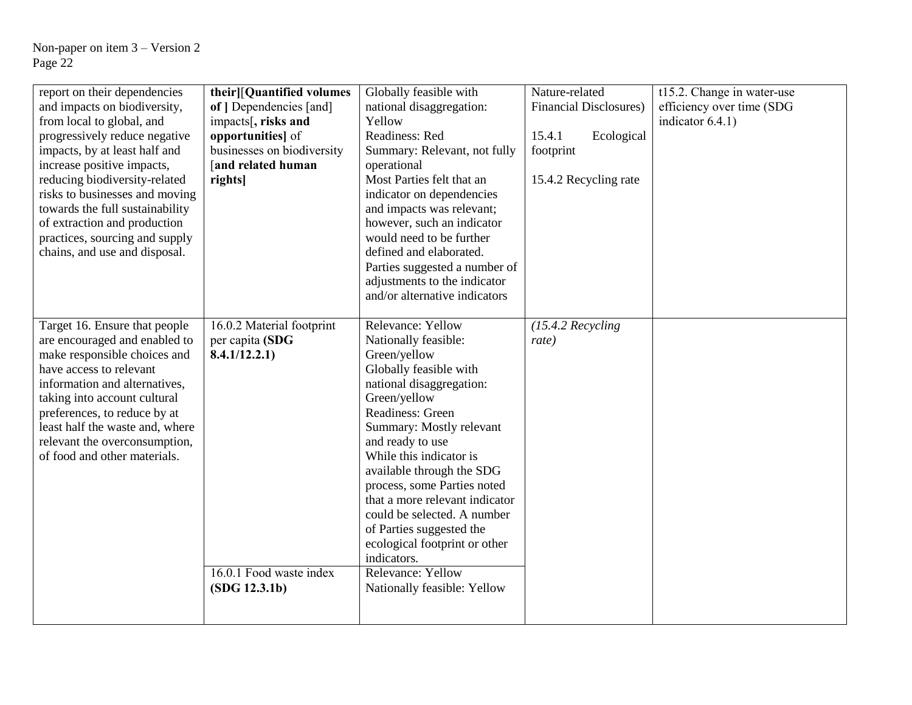| report on their dependencies<br>and impacts on biodiversity,<br>from local to global, and<br>progressively reduce negative<br>impacts, by at least half and<br>increase positive impacts,<br>reducing biodiversity-related<br>risks to businesses and moving<br>towards the full sustainability<br>of extraction and production<br>practices, sourcing and supply<br>chains, and use and disposal. | their][Quantified volumes<br>of   Dependencies [and]<br>impacts[, risks and<br>opportunities] of<br>businesses on biodiversity<br>and related human<br>rights] | Globally feasible with<br>national disaggregation:<br>Yellow<br>Readiness: Red<br>Summary: Relevant, not fully<br>operational<br>Most Parties felt that an<br>indicator on dependencies<br>and impacts was relevant;<br>however, such an indicator<br>would need to be further<br>defined and elaborated.                                                                                                                                                                                                                                                                                     | Nature-related<br><b>Financial Disclosures)</b><br>Ecological<br>15.4.1<br>footprint<br>15.4.2 Recycling rate | t15.2. Change in water-use<br>efficiency over time (SDG<br>indicator $6.4.1$ ) |
|----------------------------------------------------------------------------------------------------------------------------------------------------------------------------------------------------------------------------------------------------------------------------------------------------------------------------------------------------------------------------------------------------|----------------------------------------------------------------------------------------------------------------------------------------------------------------|-----------------------------------------------------------------------------------------------------------------------------------------------------------------------------------------------------------------------------------------------------------------------------------------------------------------------------------------------------------------------------------------------------------------------------------------------------------------------------------------------------------------------------------------------------------------------------------------------|---------------------------------------------------------------------------------------------------------------|--------------------------------------------------------------------------------|
| Target 16. Ensure that people<br>are encouraged and enabled to<br>make responsible choices and<br>have access to relevant<br>information and alternatives,<br>taking into account cultural<br>preferences, to reduce by at<br>least half the waste and, where<br>relevant the overconsumption,<br>of food and other materials.                                                                     | 16.0.2 Material footprint<br>per capita (SDG<br>8.4.1/12.2.1)<br>16.0.1 Food waste index<br>(SDG 12.3.1b)                                                      | Parties suggested a number of<br>adjustments to the indicator<br>and/or alternative indicators<br>Relevance: Yellow<br>Nationally feasible:<br>Green/yellow<br>Globally feasible with<br>national disaggregation:<br>Green/yellow<br>Readiness: Green<br>Summary: Mostly relevant<br>and ready to use<br>While this indicator is<br>available through the SDG<br>process, some Parties noted<br>that a more relevant indicator<br>could be selected. A number<br>of Parties suggested the<br>ecological footprint or other<br>indicators.<br>Relevance: Yellow<br>Nationally feasible: Yellow | $(15.4.2$ Recycling<br>rate)                                                                                  |                                                                                |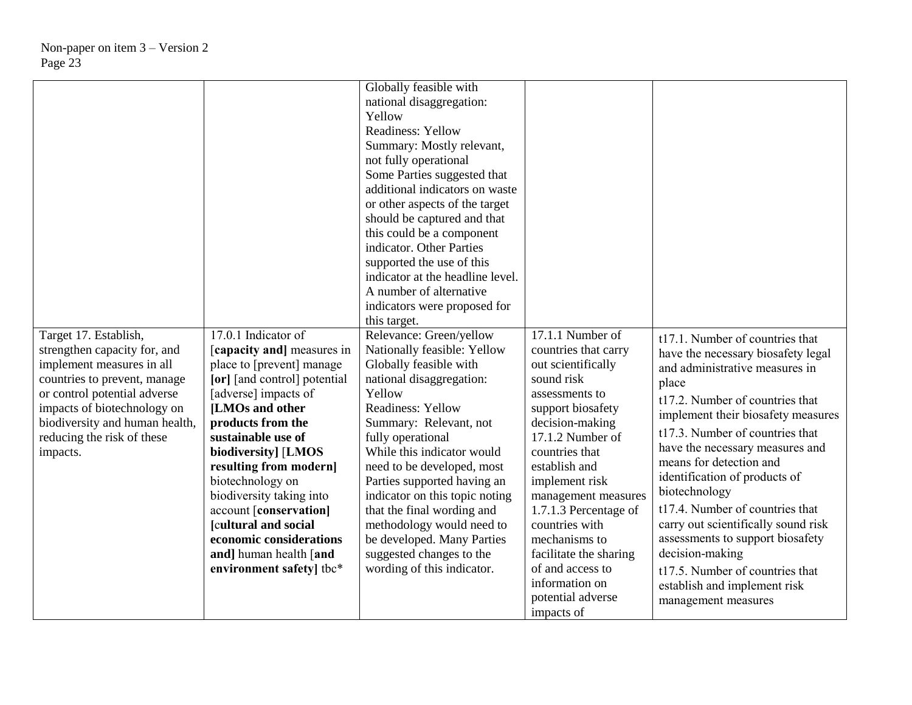| Target 17. Establish,                                                                                                                                                                                                                | 17.0.1 Indicator of                                                                                                                                                                                                                                                            | Globally feasible with<br>national disaggregation:<br>Yellow<br><b>Readiness: Yellow</b><br>Summary: Mostly relevant,<br>not fully operational<br>Some Parties suggested that<br>additional indicators on waste<br>or other aspects of the target<br>should be captured and that<br>this could be a component<br>indicator. Other Parties<br>supported the use of this<br>indicator at the headline level.<br>A number of alternative<br>indicators were proposed for<br>this target.<br>Relevance: Green/yellow | $17.1.1$ Number of                                                                                                                                                                                                   |                                                                                                                                                                                                                                                                                                                                              |
|--------------------------------------------------------------------------------------------------------------------------------------------------------------------------------------------------------------------------------------|--------------------------------------------------------------------------------------------------------------------------------------------------------------------------------------------------------------------------------------------------------------------------------|------------------------------------------------------------------------------------------------------------------------------------------------------------------------------------------------------------------------------------------------------------------------------------------------------------------------------------------------------------------------------------------------------------------------------------------------------------------------------------------------------------------|----------------------------------------------------------------------------------------------------------------------------------------------------------------------------------------------------------------------|----------------------------------------------------------------------------------------------------------------------------------------------------------------------------------------------------------------------------------------------------------------------------------------------------------------------------------------------|
| strengthen capacity for, and<br>implement measures in all<br>countries to prevent, manage<br>or control potential adverse<br>impacts of biotechnology on<br>biodiversity and human health,<br>reducing the risk of these<br>impacts. | [capacity and] measures in<br>place to [prevent] manage<br>[or] [and control] potential<br>[adverse] impacts of<br>[LMOs and other<br>products from the<br>sustainable use of<br>biodiversity] [LMOS<br>resulting from modern]<br>biotechnology on<br>biodiversity taking into | Nationally feasible: Yellow<br>Globally feasible with<br>national disaggregation:<br>Yellow<br><b>Readiness: Yellow</b><br>Summary: Relevant, not<br>fully operational<br>While this indicator would<br>need to be developed, most<br>Parties supported having an<br>indicator on this topic noting                                                                                                                                                                                                              | countries that carry<br>out scientifically<br>sound risk<br>assessments to<br>support biosafety<br>decision-making<br>$17.1.2$ Number of<br>countries that<br>establish and<br>implement risk<br>management measures | t17.1. Number of countries that<br>have the necessary biosafety legal<br>and administrative measures in<br>place<br>t17.2. Number of countries that<br>implement their biosafety measures<br>t17.3. Number of countries that<br>have the necessary measures and<br>means for detection and<br>identification of products of<br>biotechnology |
|                                                                                                                                                                                                                                      | account [conservation]<br>[cultural and social<br>economic considerations<br>and] human health [and<br>environment safety] tbc*                                                                                                                                                | that the final wording and<br>methodology would need to<br>be developed. Many Parties<br>suggested changes to the<br>wording of this indicator.                                                                                                                                                                                                                                                                                                                                                                  | 1.7.1.3 Percentage of<br>countries with<br>mechanisms to<br>facilitate the sharing<br>of and access to<br>information on<br>potential adverse<br>impacts of                                                          | t17.4. Number of countries that<br>carry out scientifically sound risk<br>assessments to support biosafety<br>decision-making<br>t17.5. Number of countries that<br>establish and implement risk<br>management measures                                                                                                                      |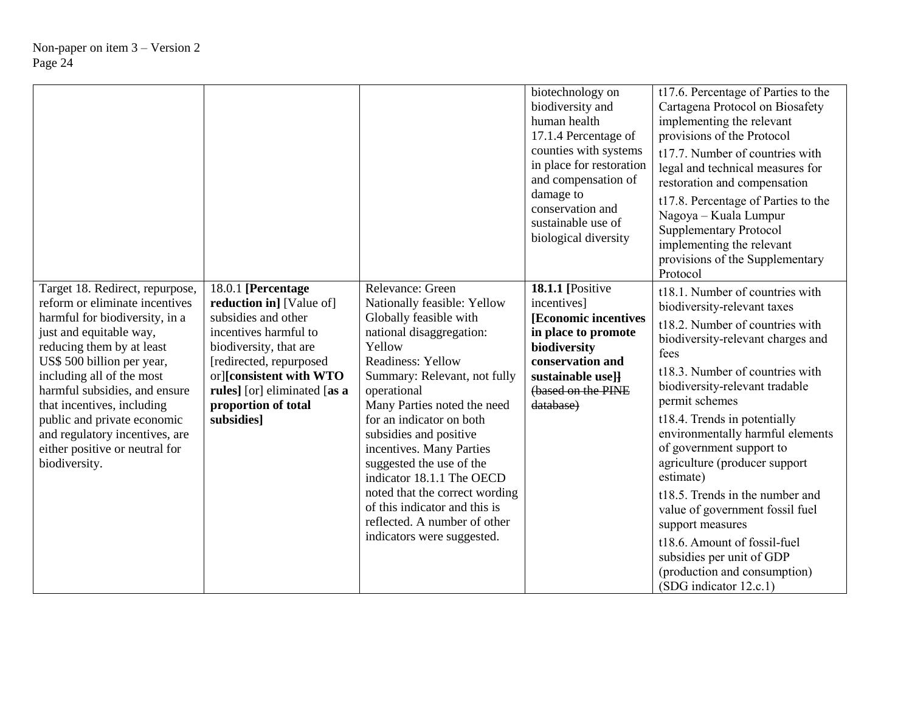|                                                                                                                                                                                                                                                                                                                                                                                                           |                                                                                                                                                                                                                                                     |                                                                                                                                                                                                                                                                                                                                                                                                                                                                                                | biotechnology on<br>biodiversity and<br>human health<br>17.1.4 Percentage of<br>counties with systems<br>in place for restoration<br>and compensation of<br>damage to<br>conservation and<br>sustainable use of<br>biological diversity | t17.6. Percentage of Parties to the<br>Cartagena Protocol on Biosafety<br>implementing the relevant<br>provisions of the Protocol<br>t17.7. Number of countries with<br>legal and technical measures for<br>restoration and compensation<br>t17.8. Percentage of Parties to the<br>Nagoya - Kuala Lumpur<br><b>Supplementary Protocol</b><br>implementing the relevant<br>provisions of the Supplementary<br>Protocol                                                                                                                                                                                     |
|-----------------------------------------------------------------------------------------------------------------------------------------------------------------------------------------------------------------------------------------------------------------------------------------------------------------------------------------------------------------------------------------------------------|-----------------------------------------------------------------------------------------------------------------------------------------------------------------------------------------------------------------------------------------------------|------------------------------------------------------------------------------------------------------------------------------------------------------------------------------------------------------------------------------------------------------------------------------------------------------------------------------------------------------------------------------------------------------------------------------------------------------------------------------------------------|-----------------------------------------------------------------------------------------------------------------------------------------------------------------------------------------------------------------------------------------|-----------------------------------------------------------------------------------------------------------------------------------------------------------------------------------------------------------------------------------------------------------------------------------------------------------------------------------------------------------------------------------------------------------------------------------------------------------------------------------------------------------------------------------------------------------------------------------------------------------|
| Target 18. Redirect, repurpose,<br>reform or eliminate incentives<br>harmful for biodiversity, in a<br>just and equitable way,<br>reducing them by at least<br>US\$ 500 billion per year,<br>including all of the most<br>harmful subsidies, and ensure<br>that incentives, including<br>public and private economic<br>and regulatory incentives, are<br>either positive or neutral for<br>biodiversity. | 18.0.1 [Percentage<br>reduction in] [Value of]<br>subsidies and other<br>incentives harmful to<br>biodiversity, that are<br>[redirected, repurposed<br>or][consistent with WTO<br>rules] [or] eliminated [as a<br>proportion of total<br>subsidies] | Relevance: Green<br>Nationally feasible: Yellow<br>Globally feasible with<br>national disaggregation:<br>Yellow<br>Readiness: Yellow<br>Summary: Relevant, not fully<br>operational<br>Many Parties noted the need<br>for an indicator on both<br>subsidies and positive<br>incentives. Many Parties<br>suggested the use of the<br>indicator 18.1.1 The OECD<br>noted that the correct wording<br>of this indicator and this is<br>reflected. A number of other<br>indicators were suggested. | <b>18.1.1</b> [Positive<br>incentives]<br>[Economic incentives]<br>in place to promote<br>biodiversity<br>conservation and<br>sustainable usell<br>(based on the PINE<br>database)                                                      | t18.1. Number of countries with<br>biodiversity-relevant taxes<br>t18.2. Number of countries with<br>biodiversity-relevant charges and<br>fees<br>t18.3. Number of countries with<br>biodiversity-relevant tradable<br>permit schemes<br>t18.4. Trends in potentially<br>environmentally harmful elements<br>of government support to<br>agriculture (producer support<br>estimate)<br>t18.5. Trends in the number and<br>value of government fossil fuel<br>support measures<br>t18.6. Amount of fossil-fuel<br>subsidies per unit of GDP<br>(production and consumption)<br>$(SDG$ indicator $12.c.1$ ) |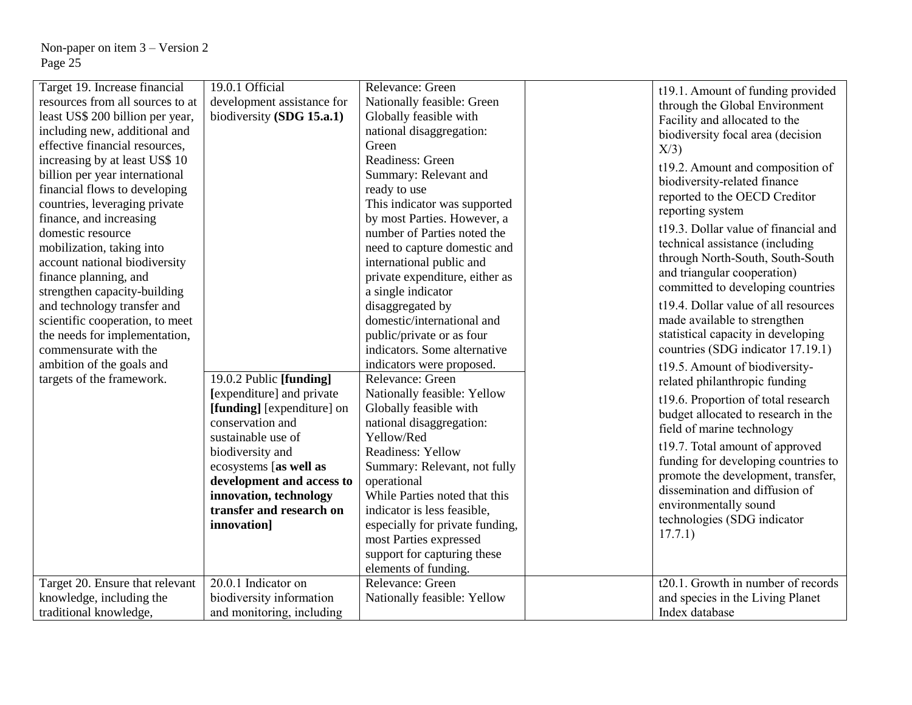| Target 19. Increase financial<br>resources from all sources to at<br>least US\$ 200 billion per year,<br>including new, additional and<br>effective financial resources,<br>increasing by at least US\$ 10<br>billion per year international<br>financial flows to developing<br>countries, leveraging private<br>finance, and increasing<br>domestic resource<br>mobilization, taking into<br>account national biodiversity<br>finance planning, and<br>strengthen capacity-building<br>and technology transfer and<br>scientific cooperation, to meet<br>the needs for implementation,<br>commensurate with the<br>ambition of the goals and<br>targets of the framework. | 19.0.1 Official<br>development assistance for<br>biodiversity (SDG 15.a.1)<br>19.0.2 Public [funding]<br>[expenditure] and private<br>[funding] [expenditure] on<br>conservation and<br>sustainable use of<br>biodiversity and<br>ecosystems [as well as<br>development and access to | Relevance: Green<br>Nationally feasible: Green<br>Globally feasible with<br>national disaggregation:<br>Green<br>Readiness: Green<br>Summary: Relevant and<br>ready to use<br>This indicator was supported<br>by most Parties. However, a<br>number of Parties noted the<br>need to capture domestic and<br>international public and<br>private expenditure, either as<br>a single indicator<br>disaggregated by<br>domestic/international and<br>public/private or as four<br>indicators. Some alternative<br>indicators were proposed.<br>Relevance: Green<br>Nationally feasible: Yellow<br>Globally feasible with<br>national disaggregation:<br>Yellow/Red<br><b>Readiness: Yellow</b><br>Summary: Relevant, not fully<br>operational | t19.1. Amount of funding provided<br>through the Global Environment<br>Facility and allocated to the<br>biodiversity focal area (decision<br>X/3<br>t19.2. Amount and composition of<br>biodiversity-related finance<br>reported to the OECD Creditor<br>reporting system<br>t19.3. Dollar value of financial and<br>technical assistance (including<br>through North-South, South-South<br>and triangular cooperation)<br>committed to developing countries<br>t19.4. Dollar value of all resources<br>made available to strengthen<br>statistical capacity in developing<br>countries (SDG indicator 17.19.1)<br>t19.5. Amount of biodiversity-<br>related philanthropic funding<br>t19.6. Proportion of total research<br>budget allocated to research in the<br>field of marine technology<br>t19.7. Total amount of approved<br>funding for developing countries to<br>promote the development, transfer, |
|-----------------------------------------------------------------------------------------------------------------------------------------------------------------------------------------------------------------------------------------------------------------------------------------------------------------------------------------------------------------------------------------------------------------------------------------------------------------------------------------------------------------------------------------------------------------------------------------------------------------------------------------------------------------------------|---------------------------------------------------------------------------------------------------------------------------------------------------------------------------------------------------------------------------------------------------------------------------------------|--------------------------------------------------------------------------------------------------------------------------------------------------------------------------------------------------------------------------------------------------------------------------------------------------------------------------------------------------------------------------------------------------------------------------------------------------------------------------------------------------------------------------------------------------------------------------------------------------------------------------------------------------------------------------------------------------------------------------------------------|----------------------------------------------------------------------------------------------------------------------------------------------------------------------------------------------------------------------------------------------------------------------------------------------------------------------------------------------------------------------------------------------------------------------------------------------------------------------------------------------------------------------------------------------------------------------------------------------------------------------------------------------------------------------------------------------------------------------------------------------------------------------------------------------------------------------------------------------------------------------------------------------------------------|
|                                                                                                                                                                                                                                                                                                                                                                                                                                                                                                                                                                                                                                                                             | innovation, technology<br>transfer and research on                                                                                                                                                                                                                                    | While Parties noted that this<br>indicator is less feasible,                                                                                                                                                                                                                                                                                                                                                                                                                                                                                                                                                                                                                                                                               | dissemination and diffusion of<br>environmentally sound                                                                                                                                                                                                                                                                                                                                                                                                                                                                                                                                                                                                                                                                                                                                                                                                                                                        |
|                                                                                                                                                                                                                                                                                                                                                                                                                                                                                                                                                                                                                                                                             | innovation]                                                                                                                                                                                                                                                                           | especially for private funding,<br>most Parties expressed<br>support for capturing these<br>elements of funding.                                                                                                                                                                                                                                                                                                                                                                                                                                                                                                                                                                                                                           | technologies (SDG indicator<br>17.7.1)                                                                                                                                                                                                                                                                                                                                                                                                                                                                                                                                                                                                                                                                                                                                                                                                                                                                         |
| Target 20. Ensure that relevant                                                                                                                                                                                                                                                                                                                                                                                                                                                                                                                                                                                                                                             | 20.0.1 Indicator on                                                                                                                                                                                                                                                                   | Relevance: Green                                                                                                                                                                                                                                                                                                                                                                                                                                                                                                                                                                                                                                                                                                                           | t20.1. Growth in number of records                                                                                                                                                                                                                                                                                                                                                                                                                                                                                                                                                                                                                                                                                                                                                                                                                                                                             |
| knowledge, including the                                                                                                                                                                                                                                                                                                                                                                                                                                                                                                                                                                                                                                                    | biodiversity information                                                                                                                                                                                                                                                              | Nationally feasible: Yellow                                                                                                                                                                                                                                                                                                                                                                                                                                                                                                                                                                                                                                                                                                                | and species in the Living Planet                                                                                                                                                                                                                                                                                                                                                                                                                                                                                                                                                                                                                                                                                                                                                                                                                                                                               |
| traditional knowledge,                                                                                                                                                                                                                                                                                                                                                                                                                                                                                                                                                                                                                                                      | and monitoring, including                                                                                                                                                                                                                                                             |                                                                                                                                                                                                                                                                                                                                                                                                                                                                                                                                                                                                                                                                                                                                            | Index database                                                                                                                                                                                                                                                                                                                                                                                                                                                                                                                                                                                                                                                                                                                                                                                                                                                                                                 |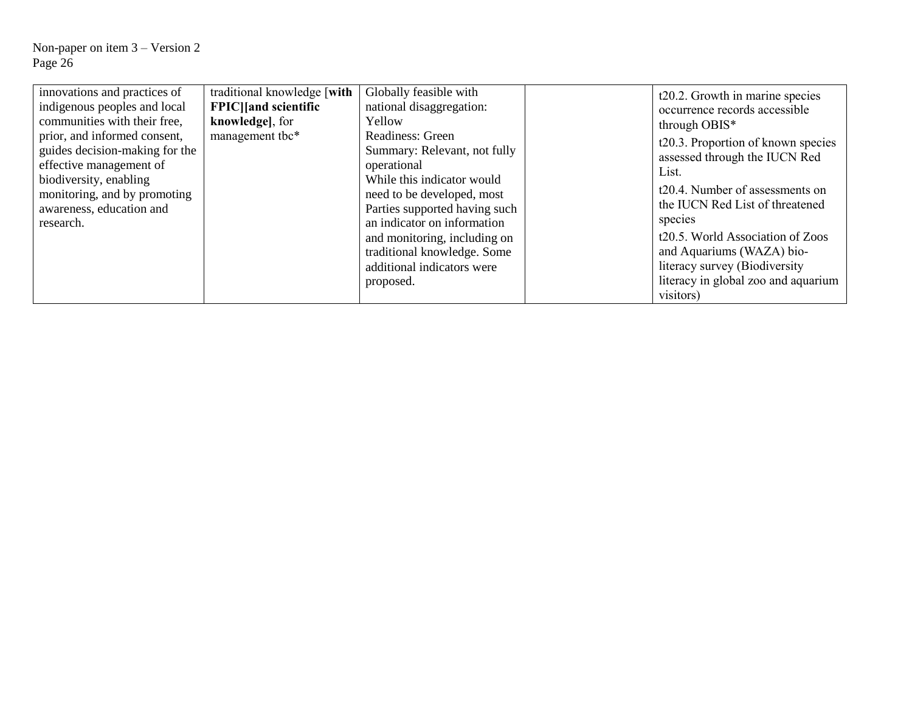| innovations and practices of                                                                    | traditional knowledge [with]                     | Globally feasible with                                                                                                   | t20.2. Growth in marine species                                                                 |
|-------------------------------------------------------------------------------------------------|--------------------------------------------------|--------------------------------------------------------------------------------------------------------------------------|-------------------------------------------------------------------------------------------------|
| indigenous peoples and local<br>communities with their free,                                    | <b>FPIC</b>   [and scientific<br>knowledge], for | national disaggregation:<br>Yellow                                                                                       | occurrence records accessible<br>through OBIS*                                                  |
| prior, and informed consent,<br>guides decision-making for the<br>effective management of       | management tbc*                                  | Readiness: Green<br>Summary: Relevant, not fully<br>operational                                                          | t20.3. Proportion of known species<br>assessed through the IUCN Red<br>List.                    |
| biodiversity, enabling<br>monitoring, and by promoting<br>awareness, education and<br>research. |                                                  | While this indicator would<br>need to be developed, most<br>Parties supported having such<br>an indicator on information | t20.4. Number of assessments on<br>the IUCN Red List of threatened<br>species                   |
|                                                                                                 |                                                  | and monitoring, including on<br>traditional knowledge. Some<br>additional indicators were                                | t20.5. World Association of Zoos<br>and Aquariums (WAZA) bio-<br>literacy survey (Biodiversity) |
|                                                                                                 |                                                  | proposed.                                                                                                                | literacy in global zoo and aquarium<br>visitors)                                                |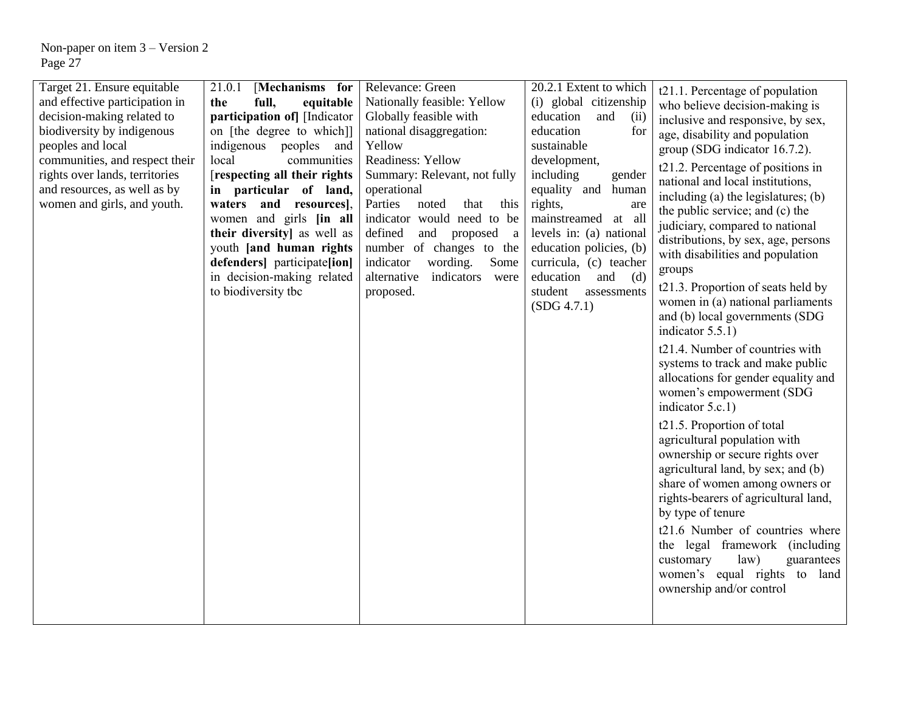| Target 21. Ensure equitable<br>and effective participation in<br>decision-making related to<br>biodiversity by indigenous<br>peoples and local<br>communities, and respect their<br>rights over lands, territories<br>and resources, as well as by<br>women and girls, and youth. | 21.0.1<br>[Mechanisms for<br>full,<br>the<br>equitable<br>participation of [Indicator<br>on [the degree to which]]<br>indigenous peoples and<br>local<br>communities<br>[respecting all their rights]<br>in particular of land,<br>waters<br>and resources],<br>women and girls [in all<br>their diversity] as well as<br>youth [and human rights<br>defenders   participate [ion]<br>in decision-making related<br>to biodiversity tbc | Relevance: Green<br>Nationally feasible: Yellow<br>Globally feasible with<br>national disaggregation:<br>Yellow<br>Readiness: Yellow<br>Summary: Relevant, not fully<br>operational<br>Parties<br>this<br>noted<br>that<br>indicator would need to be<br>defined<br>and proposed<br><sub>a</sub><br>number of changes to the<br>indicator<br>wording.<br>Some<br>alternative<br>indicators<br>were<br>proposed. | 20.2.1 Extent to which<br>(i) global citizenship<br>education<br>and<br>(ii)<br>education<br>for<br>sustainable<br>development,<br>including<br>gender<br>equality and human<br>rights,<br>are<br>mainstreamed at all<br>levels in: (a) national<br>education policies, (b)<br>curricula, (c) teacher<br>education<br>and<br>(d)<br>student<br>assessments<br>(SDG 4.7.1) | t21.1. Percentage of population<br>who believe decision-making is<br>inclusive and responsive, by sex,<br>age, disability and population<br>group (SDG indicator 16.7.2).<br>t21.2. Percentage of positions in<br>national and local institutions,<br>including (a) the legislatures; (b)<br>the public service; and (c) the<br>judiciary, compared to national<br>distributions, by sex, age, persons<br>with disabilities and population<br>groups<br>t21.3. Proportion of seats held by<br>women in (a) national parliaments<br>and (b) local governments (SDG<br>indicator $5.5.1$ )<br>t21.4. Number of countries with<br>systems to track and make public<br>allocations for gender equality and<br>women's empowerment (SDG<br>indicator 5.c.1)<br>t21.5. Proportion of total<br>agricultural population with<br>ownership or secure rights over<br>agricultural land, by sex; and (b)<br>share of women among owners or<br>rights-bearers of agricultural land,<br>by type of tenure<br>t21.6 Number of countries where<br>the legal framework (including<br>customary<br>law)<br>guarantees<br>women's equal rights to land<br>ownership and/or control |
|-----------------------------------------------------------------------------------------------------------------------------------------------------------------------------------------------------------------------------------------------------------------------------------|-----------------------------------------------------------------------------------------------------------------------------------------------------------------------------------------------------------------------------------------------------------------------------------------------------------------------------------------------------------------------------------------------------------------------------------------|-----------------------------------------------------------------------------------------------------------------------------------------------------------------------------------------------------------------------------------------------------------------------------------------------------------------------------------------------------------------------------------------------------------------|---------------------------------------------------------------------------------------------------------------------------------------------------------------------------------------------------------------------------------------------------------------------------------------------------------------------------------------------------------------------------|------------------------------------------------------------------------------------------------------------------------------------------------------------------------------------------------------------------------------------------------------------------------------------------------------------------------------------------------------------------------------------------------------------------------------------------------------------------------------------------------------------------------------------------------------------------------------------------------------------------------------------------------------------------------------------------------------------------------------------------------------------------------------------------------------------------------------------------------------------------------------------------------------------------------------------------------------------------------------------------------------------------------------------------------------------------------------------------------------------------------------------------------------------------|
|-----------------------------------------------------------------------------------------------------------------------------------------------------------------------------------------------------------------------------------------------------------------------------------|-----------------------------------------------------------------------------------------------------------------------------------------------------------------------------------------------------------------------------------------------------------------------------------------------------------------------------------------------------------------------------------------------------------------------------------------|-----------------------------------------------------------------------------------------------------------------------------------------------------------------------------------------------------------------------------------------------------------------------------------------------------------------------------------------------------------------------------------------------------------------|---------------------------------------------------------------------------------------------------------------------------------------------------------------------------------------------------------------------------------------------------------------------------------------------------------------------------------------------------------------------------|------------------------------------------------------------------------------------------------------------------------------------------------------------------------------------------------------------------------------------------------------------------------------------------------------------------------------------------------------------------------------------------------------------------------------------------------------------------------------------------------------------------------------------------------------------------------------------------------------------------------------------------------------------------------------------------------------------------------------------------------------------------------------------------------------------------------------------------------------------------------------------------------------------------------------------------------------------------------------------------------------------------------------------------------------------------------------------------------------------------------------------------------------------------|